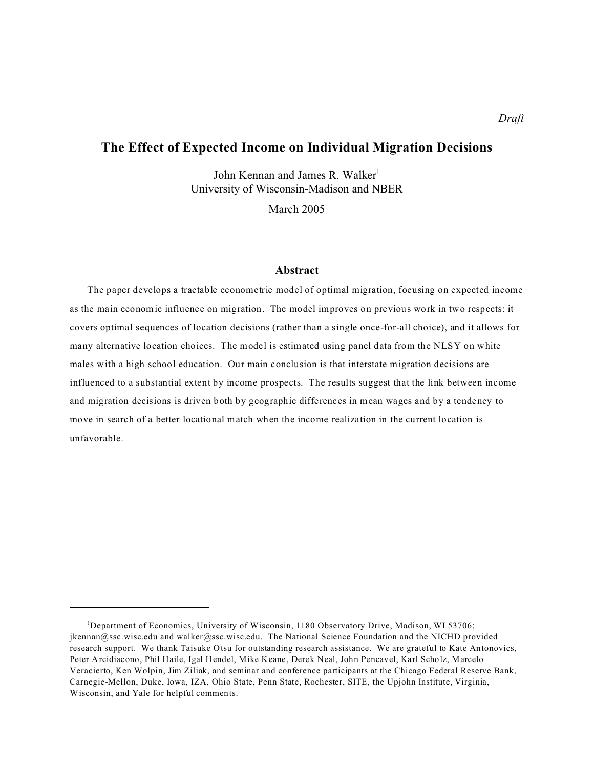# **The Effect of Expected Income on Individual Migration Decisions**

John Kennan and James R. Walker<sup>1</sup> University of Wisconsin-Madison and NBER

March 2005

## **Abstract**

The paper develops a tractable econometric model of optimal migration, focusing on expected income as the main economic influence on migration. The model improves on previous work in two respects: it covers optimal sequences of location decisions (rather than a single once-for-all choice), and it allows for many alternative location choices. The model is estimated using panel data from the NLSY on white males with a high school education. Our main conclusion is that interstate migration decisions are influenced to a substantial extent by income prospects. The results suggest that the link between income and migration decisions is driven both by geographic differences in mean wages and by a tendency to move in search of a better locational match when the income realization in the current location is unfavorable.

<sup>&</sup>lt;sup>1</sup>Department of Economics, University of Wisconsin, 1180 Observatory Drive, Madison, WI 53706; jkennan@ssc.wisc.edu and walker@ssc.wisc.edu. The National Science Foundation and the NICHD provided research support. We thank Taisuke Otsu for outstanding research assistance. We are grateful to Kate Antonovics, Peter Arcidiacono, Phil Haile, Igal Hendel, Mike Keane, Derek Neal, John Pencavel, Karl Scholz, Marcelo Veracierto, Ken Wolpin, Jim Ziliak, and seminar and conference participants at the Chicago Federal Reserve Bank, Carnegie-Mellon, Duke, Iowa, IZA, Ohio State, Penn State, Rochester, SITE, the Upjohn Institute, Virginia, Wisconsin, and Yale for helpful comments.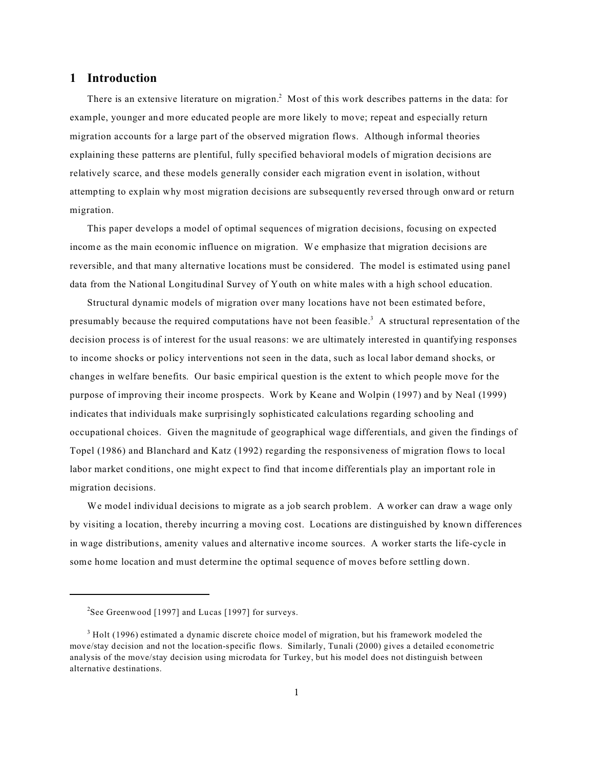## **1 Introduction**

There is an extensive literature on migration.<sup>2</sup> Most of this work describes patterns in the data: for example, younger and more educated people are more likely to move; repeat and especially return migration accounts for a large part of the observed migration flows. Although informal theories explaining these patterns are plentiful, fully specified behavioral models of migration decisions are relatively scarce, and these models generally consider each migration event in isolation, without attempting to explain why most migration decisions are subsequently reversed through onward or return migration.

This paper develops a model of optimal sequences of migration decisions, focusing on expected income as the main economic influence on migration. We emphasize that migration decisions are reversible, and that many alternative locations must be considered. The model is estimated using panel data from the National Longitudinal Survey of Youth on white males with a high school education.

Structural dynamic models of migration over many locations have not been estimated before, presumably because the required computations have not been feasible.<sup>3</sup> A structural representation of the decision process is of interest for the usual reasons: we are ultimately interested in quantifying responses to income shocks or policy interventions not seen in the data, such as local labor demand shocks, or changes in welfare benefits. Our basic empirical question is the extent to which people move for the purpose of improving their income prospects. Work by Keane and Wolpin (1997) and by Neal (1999) indicates that individuals make surprisingly sophisticated calculations regarding schooling and occupational choices. Given the magnitude of geographical wage differentials, and given the findings of Topel (1986) and Blanchard and Katz (1992) regarding the responsiveness of migration flows to local labor market conditions, one might expect to find that income differentials play an important role in migration decisions.

We model individual decisions to migrate as a job search problem. A worker can draw a wage only by visiting a location, thereby incurring a moving cost. Locations are distinguished by known differences in wage distributions, amenity values and alternative income sources. A worker starts the life-cycle in some home location and must determine the optimal sequence of moves before settling down.

<sup>&</sup>lt;sup>2</sup>See Greenwood [1997] and Lucas [1997] for surveys.

 $3$  Holt (1996) estimated a dynamic discrete choice model of migration, but his framework modeled the move/stay decision and not the location-specific flows. Similarly, Tunali (2000) gives a detailed econometric analysis of the move/stay decision using microdata for Turkey, but his model does not distinguish between alternative destinations.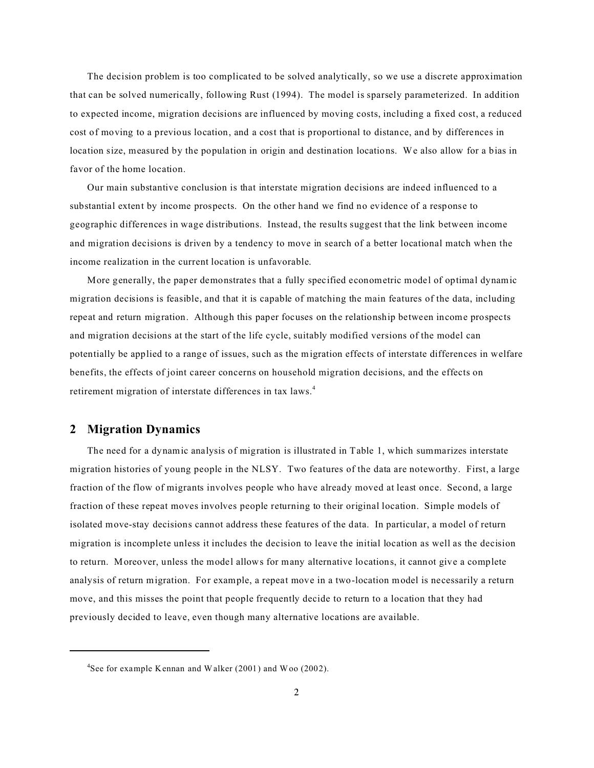The decision problem is too complicated to be solved analytically, so we use a discrete approximation that can be solved numerically, following Rust (1994). The model is sparsely parameterized. In addition to expected income, migration decisions are influenced by moving costs, including a fixed cost, a reduced cost of moving to a previous location, and a cost that is proportional to distance, and by differences in location size, measured by the population in origin and destination locations. We also allow for a bias in favor of the home location.

Our main substantive conclusion is that interstate migration decisions are indeed influenced to a substantial extent by income prospects. On the other hand we find no evidence of a response to geographic differences in wage distributions. Instead, the results suggest that the link between income and migration decisions is driven by a tendency to move in search of a better locational match when the income realization in the current location is unfavorable.

More generally, the paper demonstrates that a fully specified econometric model of optimal dynamic migration decisions is feasible, and that it is capable of matching the main features of the data, including repeat and return migration. Although this paper focuses on the relationship between income prospects and migration decisions at the start of the life cycle, suitably modified versions of the model can potentially be applied to a range of issues, such as the migration effects of interstate differences in welfare benefits, the effects of joint career concerns on household migration decisions, and the effects on retirement migration of interstate differences in tax laws.<sup>4</sup>

## **2 Migration Dynamics**

The need for a dynamic analysis of migration is illustrated in Table 1, which summarizes interstate migration histories of young people in the NLSY. Two features of the data are noteworthy. First, a large fraction of the flow of migrants involves people who have already moved at least once. Second, a large fraction of these repeat moves involves people returning to their original location. Simple models of isolated move-stay decisions cannot address these features of the data. In particular, a model of return migration is incomplete unless it includes the decision to leave the initial location as well as the decision to return. Moreover, unless the model allows for many alternative locations, it cannot give a complete analysis of return migration. For example, a repeat move in a two-location model is necessarily a return move, and this misses the point that people frequently decide to return to a location that they had previously decided to leave, even though many alternative locations are available.

<sup>&</sup>lt;sup>4</sup>See for example Kennan and Walker (2001) and Woo (2002).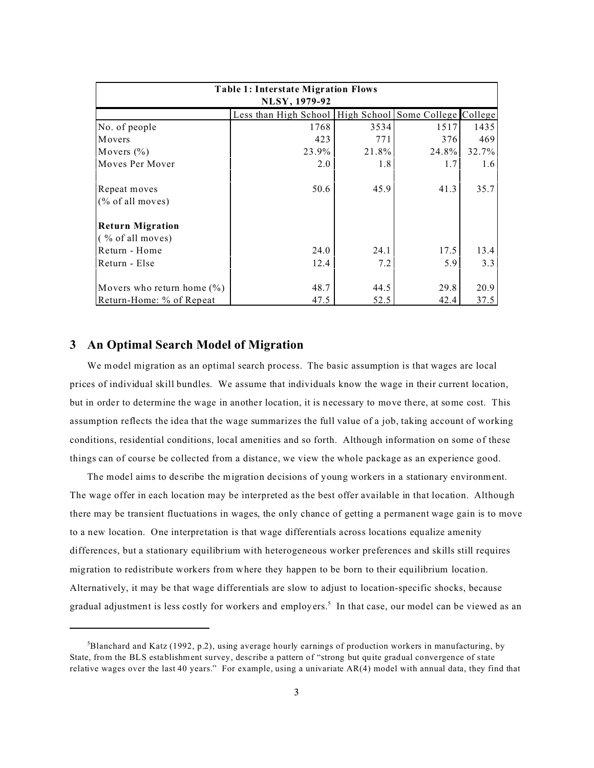| <b>Table 1: Interstate Migration Flows</b> |                                                        |       |       |       |  |  |  |  |
|--------------------------------------------|--------------------------------------------------------|-------|-------|-------|--|--|--|--|
| NLSY, 1979-92                              |                                                        |       |       |       |  |  |  |  |
|                                            | Less than High School High School Some College College |       |       |       |  |  |  |  |
| No. of people                              | 1768                                                   | 3534  | 1517  | 1435  |  |  |  |  |
| Movers                                     | 423                                                    | 771   | 376   | 469   |  |  |  |  |
| Movers $(\% )$                             | 23.9%                                                  | 21.8% | 24.8% | 32.7% |  |  |  |  |
| Moves Per Mover                            | 2.0                                                    | 1.8   | 1.7   | 1.6   |  |  |  |  |
| Repeat moves                               | 50.6                                                   | 45.9  | 41.3  | 35.7  |  |  |  |  |
| $(\%$ of all moves)                        |                                                        |       |       |       |  |  |  |  |
| <b>Return Migration</b>                    |                                                        |       |       |       |  |  |  |  |
| $($ % of all moves)                        |                                                        |       |       |       |  |  |  |  |
| Return - Home                              | 24.0                                                   | 24.1  | 17.5  | 13.4  |  |  |  |  |
| Return - Else                              | 12.4                                                   | 7.2   | 5.9   | 3.3   |  |  |  |  |
|                                            |                                                        |       |       |       |  |  |  |  |
| Movers who return home $(\%)$              | 48.7                                                   | 44.5  | 29.8  | 20.9  |  |  |  |  |
| Return-Home: % of Repeat                   | 47.5                                                   | 52.5  | 42.4  | 37.5  |  |  |  |  |

## **3 An Optimal Search Model of Migration**

We model migration as an optimal search process. The basic assumption is that wages are local prices of individual skill bundles. We assume that individuals know the wage in their current location, but in order to determine the wage in another location, it is necessary to move there, at some cost. This assumption reflects the idea that the wage summarizes the full value of a job, taking account of working conditions, residential conditions, local amenities and so forth. Although information on some of these things can of course be collected from a distance, we view the whole package as an experience good.

The model aims to describe the migration decisions of young workers in a stationary environment. The wage offer in each location may be interpreted as the best offer available in that location. Although there may be transient fluctuations in wages, the only chance of getting a permanent wage gain is to move to a new location. One interpretation is that wage differentials across locations equalize amenity differences, but a stationary equilibrium with heterogeneous worker preferences and skills still requires migration to redistribute workers from where they happen to be born to their equilibrium location. Alternatively, it may be that wage differentials are slow to adjust to location-specific shocks, because gradual adjustment is less costly for workers and employers.<sup>5</sup> In that case, our model can be viewed as an

 ${}^{5}$ Blanchard and Katz (1992, p.2), using average hourly earnings of production workers in manufacturing, by State, from the BLS establishment survey, describe a pattern of "strong but quite gradual convergence of state relative wages over the last 40 years." For example, using a univariate AR(4) model with annual data, they find that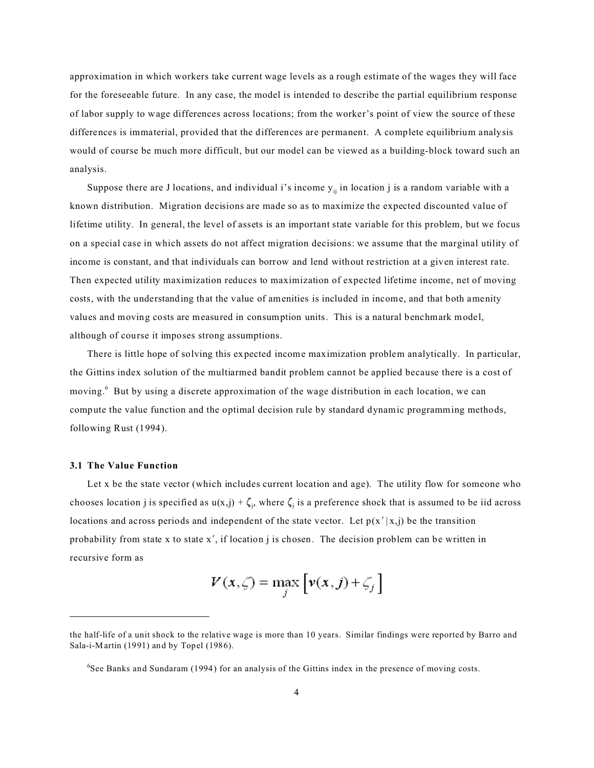approximation in which workers take current wage levels as a rough estimate of the wages they will face for the foreseeable future. In any case, the model is intended to describe the partial equilibrium response of labor supply to wage differences across locations; from the worker's point of view the source of these differences is immaterial, provided that the differences are permanent. A complete equilibrium analysis would of course be much more difficult, but our model can be viewed as a building-block toward such an analysis.

Suppose there are J locations, and individual i's income  $y_{ij}$  in location j is a random variable with a known distribution. Migration decisions are made so as to maximize the expected discounted value of lifetime utility. In general, the level of assets is an important state variable for this problem, but we focus on a special case in which assets do not affect migration decisions: we assume that the marginal utility of income is constant, and that individuals can borrow and lend without restriction at a given interest rate. Then expected utility maximization reduces to maximization of expected lifetime income, net of moving costs, with the understanding that the value of amenities is included in income, and that both amenity values and moving costs are measured in consumption units. This is a natural benchmark model, although of course it imposes strong assumptions.

There is little hope of solving this expected income maximization problem analytically. In particular, the Gittins index solution of the multiarmed bandit problem cannot be applied because there is a cost of moving.<sup>6</sup> But by using a discrete approximation of the wage distribution in each location, we can compute the value function and the optimal decision rule by standard dynamic programming methods, following Rust (1994).

#### **3.1 The Value Function**

Let x be the state vector (which includes current location and age). The utility flow for someone who chooses location j is specified as  $u(x,j) + \zeta_j$ , where  $\zeta_j$  is a preference shock that is assumed to be iid across locations and across periods and independent of the state vector. Let  $p(x'|x,j)$  be the transition probability from state x to state  $x'$ , if location j is chosen. The decision problem can be written in recursive form as

$$
V(x,\zeta) = \max_{j} \left[ v(x,j) + \zeta_j \right]
$$

the half-life of a unit shock to the relative wage is more than 10 years. Similar findings were reported by Barro and Sala-i-Martin (1991) and by Topel (1986).

<sup>&</sup>lt;sup>6</sup>See Banks and Sundaram (1994) for an analysis of the Gittins index in the presence of moving costs.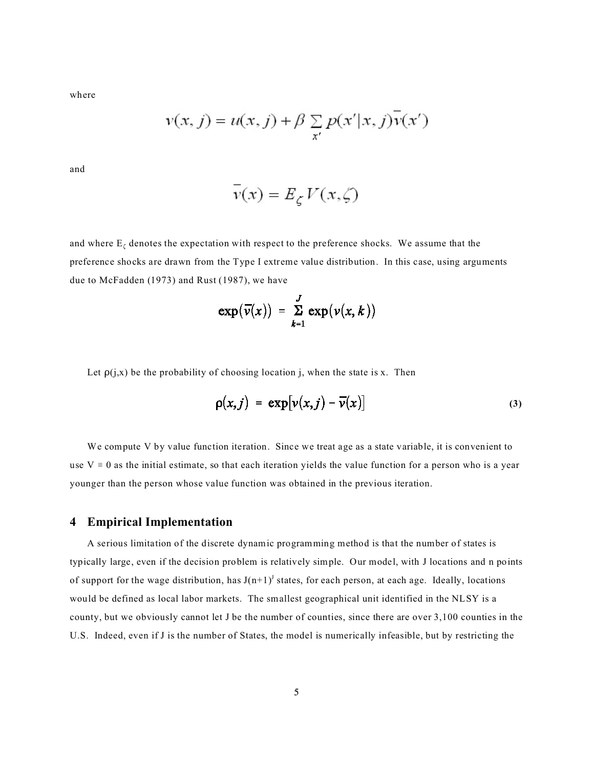where

$$
v(x, j) = u(x, j) + \beta \sum_{x'} p(x'|x, j)\overline{v}(x')
$$

and

$$
v(x) = E_{\zeta} V(x, \zeta)
$$

and where  $E_{\zeta}$  denotes the expectation with respect to the preference shocks. We assume that the preference shocks are drawn from the Type I extreme value distribution. In this case, using arguments due to McFadden (1973) and Rust (1987), we have

$$
\exp(\overline{\nu}(x)) = \sum_{k=1}^{J} \exp(\nu(x, k))
$$

Let  $\rho(j,x)$  be the probability of choosing location j, when the state is x. Then

$$
\rho(x,j) = \exp[\nu(x,j) - \overline{\nu}(x)] \tag{3}
$$

We compute V by value function iteration. Since we treat age as a state variable, it is convenient to use  $V = 0$  as the initial estimate, so that each iteration yields the value function for a person who is a year younger than the person whose value function was obtained in the previous iteration.

## **4 Empirical Implementation**

A serious limitation of the discrete dynamic programming method is that the number of states is typically large, even if the decision problem is relatively simple. Our model, with J locations and n points of support for the wage distribution, has  $J(n+1)^J$  states, for each person, at each age. Ideally, locations would be defined as local labor markets. The smallest geographical unit identified in the NLSY is a county, but we obviously cannot let J be the number of counties, since there are over 3,100 counties in the U.S. Indeed, even if J is the number of States, the model is numerically infeasible, but by restricting the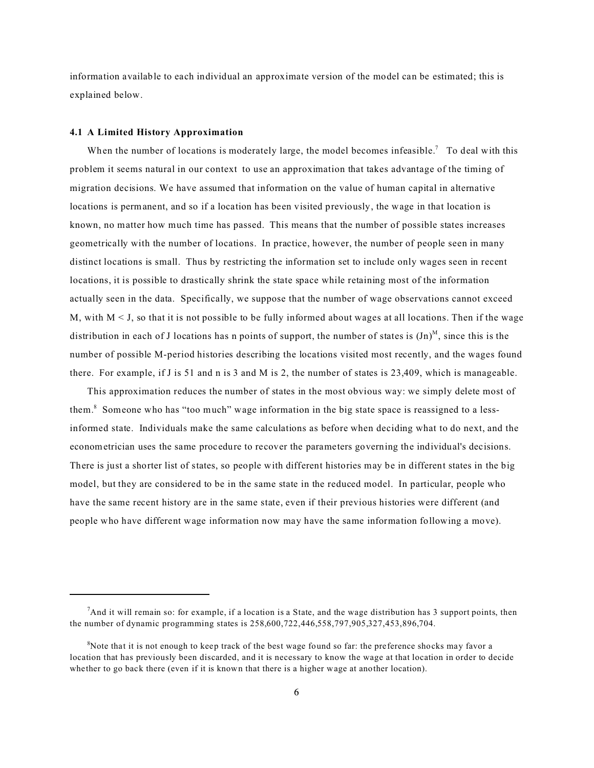information available to each individual an approximate version of the model can be estimated; this is explained below.

#### **4.1 A Limited History Approximation**

When the number of locations is moderately large, the model becomes infeasible.<sup>7</sup> To deal with this problem it seems natural in our context to use an approximation that takes advantage of the timing of migration decisions. We have assumed that information on the value of human capital in alternative locations is permanent, and so if a location has been visited previously, the wage in that location is known, no matter how much time has passed. This means that the number of possible states increases geometrically with the number of locations. In practice, however, the number of people seen in many distinct locations is small. Thus by restricting the information set to include only wages seen in recent locations, it is possible to drastically shrink the state space while retaining most of the information actually seen in the data. Specifically, we suppose that the number of wage observations cannot exceed M, with  $M < J$ , so that it is not possible to be fully informed about wages at all locations. Then if the wage distribution in each of J locations has n points of support, the number of states is  $(Jn)^M$ , since this is the number of possible M-period histories describing the locations visited most recently, and the wages found there. For example, if J is 51 and n is 3 and M is 2, the number of states is 23,409, which is manageable.

This approximation reduces the number of states in the most obvious way: we simply delete most of them.<sup>8</sup> Someone who has "too much" wage information in the big state space is reassigned to a lessinformed state. Individuals make the same calculations as before when deciding what to do next, and the econometrician uses the same procedure to recover the parameters governing the individual's decisions. There is just a shorter list of states, so people with different histories may be in different states in the big model, but they are considered to be in the same state in the reduced model. In particular, people who have the same recent history are in the same state, even if their previous histories were different (and people who have different wage information now may have the same information following a move).

 $<sup>7</sup>$ And it will remain so: for example, if a location is a State, and the wage distribution has 3 support points, then</sup> the number of dynamic programming states is 258,600,722,446,558,797,905,327,453,896,704.

 ${}^{8}$ Note that it is not enough to keep track of the best wage found so far: the preference shocks may favor a location that has previously been discarded, and it is necessary to know the wage at that location in order to decide whether to go back there (even if it is known that there is a higher wage at another location).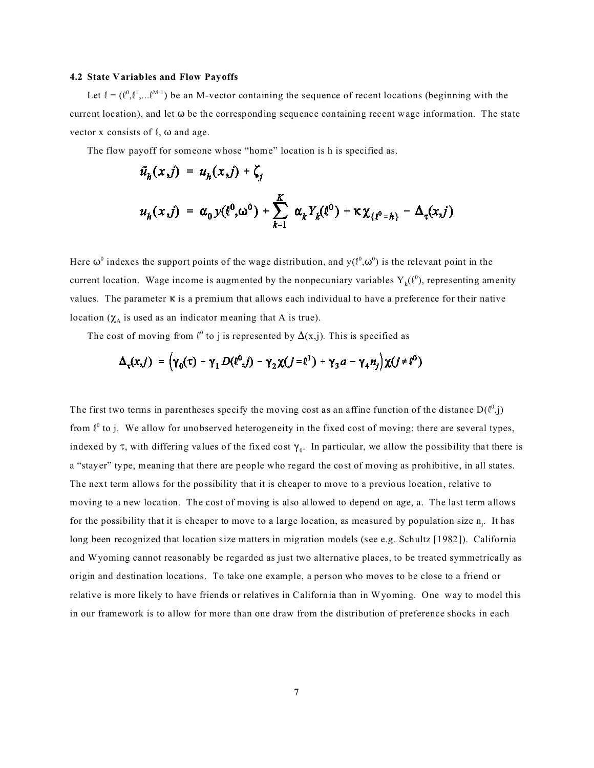#### **4.2 State Variables and Flow Payoffs**

Let  $\ell = (\ell^0, \ell^1, \ldots, \ell^{M-1})$  be an M-vector containing the sequence of recent locations (beginning with the current location), and let  $\omega$  be the corresponding sequence containing recent wage information. The state vector x consists of  $\ell$ ,  $\omega$  and age.

The flow payoff for someone whose "home" location is h is specified as.

$$
\tilde{u}_h(x,j) = u_h(x,j) + \zeta_j
$$
  

$$
u_h(x,j) = \alpha_0 y(\ell^0, \omega^0) + \sum_{k=1}^K \alpha_k Y_k(\ell^0) + \kappa \chi_{\{\ell^0 = h\}} - \Delta_\tau(x,j)
$$

Here  $\omega^0$  indexes the support points of the wage distribution, and y( $l^0,\omega^0$ ) is the relevant point in the current location. Wage income is augmented by the nonpecuniary variables  $Y_k(\ell^0)$ , representing amenity values. The parameter  $\kappa$  is a premium that allows each individual to have a preference for their native location  $(\chi_A)$  is used as an indicator meaning that A is true).

The cost of moving from  $\ell^0$  to j is represented by  $\Delta(x,j)$ . This is specified as

$$
\Delta_{\tau}(x,j) = (\gamma_0(\tau) + \gamma_1 D(\ell^0,j) - \gamma_2 \chi(j=\ell^1) + \gamma_3 a - \gamma_4 n_j) \chi(j \neq \ell^0)
$$

The first two terms in parentheses specify the moving cost as an affine function of the distance  $D(\ell^0, j)$ from  $\ell^0$  to j. We allow for unobserved heterogeneity in the fixed cost of moving: there are several types, indexed by  $\tau$ , with differing values of the fixed cost  $\gamma_0$ . In particular, we allow the possibility that there is a "stayer" type, meaning that there are people who regard the cost of moving as prohibitive, in all states. The next term allows for the possibility that it is cheaper to move to a previous location, relative to moving to a new location. The cost of moving is also allowed to depend on age, a. The last term allows for the possibility that it is cheaper to move to a large location, as measured by population size  $n_j$ . It has long been recognized that location size matters in migration models (see e.g. Schultz [1982]). California and Wyoming cannot reasonably be regarded as just two alternative places, to be treated symmetrically as origin and destination locations. To take one example, a person who moves to be close to a friend or relative is more likely to have friends or relatives in California than in Wyoming. One way to model this in our framework is to allow for more than one draw from the distribution of preference shocks in each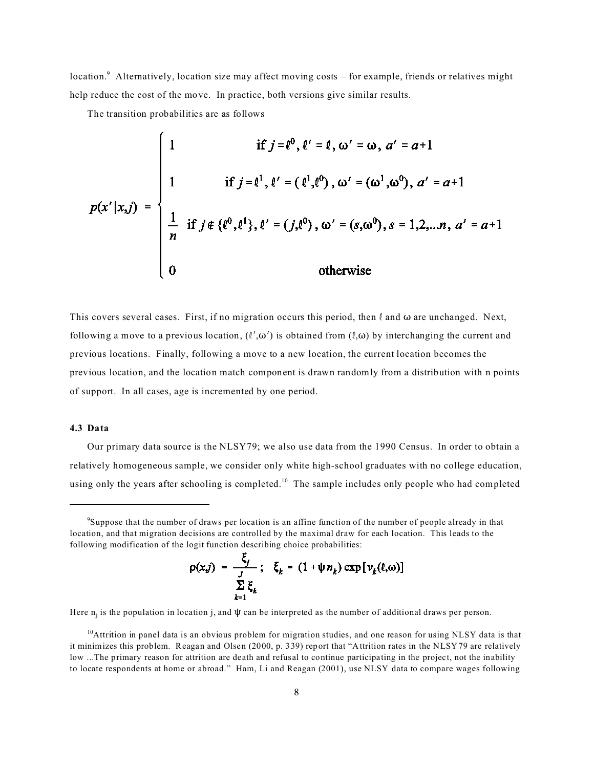location.<sup>9</sup> Alternatively, location size may affect moving costs – for example, friends or relatives might help reduce the cost of the move. In practice, both versions give similar results.

The transition probabilities are as follows

$$
p(x'|x,j) = \begin{cases} 1 & \text{if } j = \ell^0, \ell' = \ell, \omega' = \omega, \, a' = a+1 \\ 1 & \text{if } j = \ell^1, \ell' = (\ell^1, \ell^0), \, \omega' = (\omega^1, \omega^0), \, a' = a+1 \\ \frac{1}{n} & \text{if } j \notin \{\ell^0, \ell^1\}, \, \ell' = (j, \ell^0), \, \omega' = (s, \omega^0), \, s = 1, 2, \dots, n, \, a' = a+1 \\ 0 & \text{otherwise} \end{cases}
$$

This covers several cases. First, if no migration occurs this period, then  $\ell$  and  $\omega$  are unchanged. Next, following a move to a previous location,  $(l',\omega')$  is obtained from  $(l,\omega)$  by interchanging the current and previous locations. Finally, following a move to a new location, the current location becomes the previous location, and the location match component is drawn randomly from a distribution with n points of support. In all cases, age is incremented by one period.

## **4.3 Data**

Our primary data source is the NLSY79; we also use data from the 1990 Census. In order to obtain a relatively homogeneous sample, we consider only white high-school graduates with no college education, using only the years after schooling is completed.<sup>10</sup> The sample includes only people who had completed

$$
\rho(x,j) = \frac{\zeta_j}{J}; \quad \zeta_k = (1 + \psi n_k) \exp[v_k(\ell,\omega)]
$$
  

$$
\sum_{k=1}^{N} \zeta_k
$$

Here  $n_j$  is the population in location j, and  $\psi$  can be interpreted as the number of additional draws per person.

 $10$ Attrition in panel data is an obvious problem for migration studies, and one reason for using NLSY data is that it minimizes this problem. Reagan and Olsen (2000, p. 339) report that "Attrition rates in the NLSY79 are relatively low ...The primary reason for attrition are death and refusal to continue participating in the project, not the inability to locate respondents at home or abroad." Ham, Li and Reagan (2001), use NLSY data to compare wages following

<sup>9</sup> Suppose that the number of draws per location is an affine function of the number of people already in that location, and that migration decisions are controlled by the maximal draw for each location. This leads to the following modification of the logit function describing choice probabilities: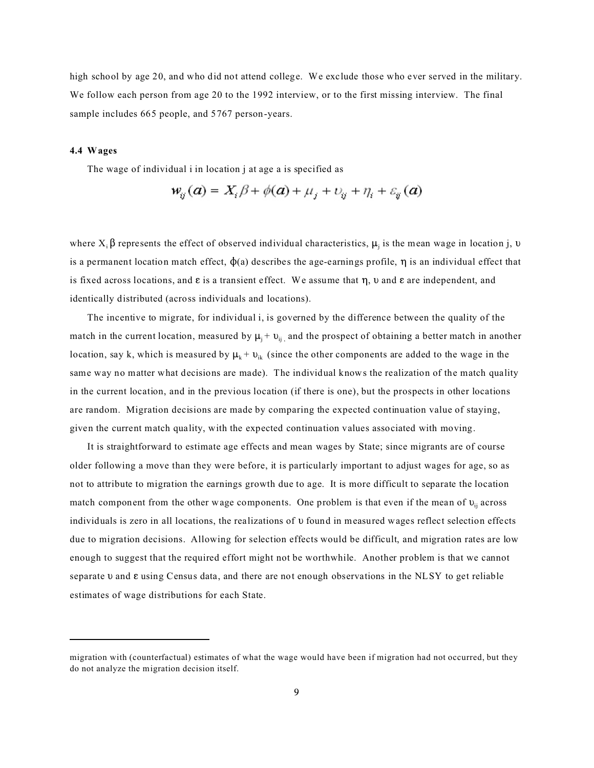high school by age 20, and who did not attend college. We exclude those who ever served in the military. We follow each person from age 20 to the 1992 interview, or to the first missing interview. The final sample includes 665 people, and 5767 person-years.

### **4.4 Wages**

The wage of individual i in location j at age a is specified as

$$
w_{ij}(a) = X_i \beta + \phi(a) + \mu_j + v_{ij} + \eta_i + \varepsilon_{ij}(a)
$$

where  $X_i \beta$  represents the effect of observed individual characteristics,  $\mu_j$  is the mean wage in location j,  $\nu$ is a permanent location match effect,  $\phi$ (a) describes the age-earnings profile,  $\eta$  is an individual effect that is fixed across locations, and  $\varepsilon$  is a transient effect. We assume that  $\eta$ ,  $\nu$  and  $\varepsilon$  are independent, and identically distributed (across individuals and locations).

The incentive to migrate, for individual i, is governed by the difference between the quality of the match in the current location, measured by  $\mu_i + \nu_{ii}$  and the prospect of obtaining a better match in another location, say k, which is measured by  $\mu_k + v_{ik}$  (since the other components are added to the wage in the same way no matter what decisions are made). The individual knows the realization of the match quality in the current location, and in the previous location (if there is one), but the prospects in other locations are random. Migration decisions are made by comparing the expected continuation value of staying, given the current match quality, with the expected continuation values associated with moving.

It is straightforward to estimate age effects and mean wages by State; since migrants are of course older following a move than they were before, it is particularly important to adjust wages for age, so as not to attribute to migration the earnings growth due to age. It is more difficult to separate the location match component from the other wage components. One problem is that even if the mean of  $v_{ii}$  across individuals is zero in all locations, the realizations of  $\nu$  found in measured wages reflect selection effects due to migration decisions. Allowing for selection effects would be difficult, and migration rates are low enough to suggest that the required effort might not be worthwhile. Another problem is that we cannot separate  $\nu$  and  $\varepsilon$  using Census data, and there are not enough observations in the NLSY to get reliable estimates of wage distributions for each State.

migration with (counterfactual) estimates of what the wage would have been if migration had not occurred, but they do not analyze the migration decision itself.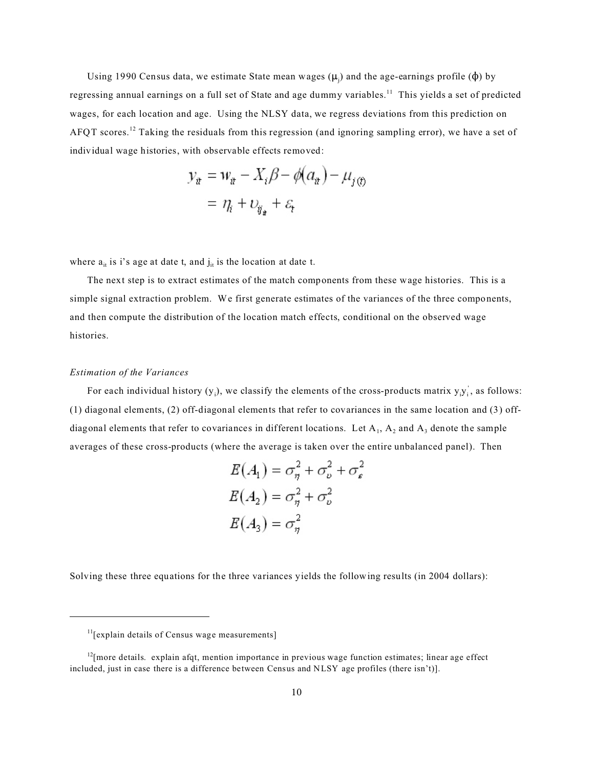Using 1990 Census data, we estimate State mean wages  $(\mu_j)$  and the age-earnings profile  $(\phi)$  by regressing annual earnings on a full set of State and age dummy variables.<sup>11</sup> This yields a set of predicted wages, for each location and age. Using the NLSY data, we regress deviations from this prediction on AFQT scores.<sup>12</sup> Taking the residuals from this regression (and ignoring sampling error), we have a set of individual wage histories, with observable effects removed:

$$
y_{\dot{x}} = w_{\dot{x}} - X_i \beta - \phi(a_{\dot{x}}) - \mu_{j(\dot{x})}
$$

$$
= \eta_i + \nu_{\ddot{y}_{\dot{x}}} + \varepsilon_t
$$

where  $a_{it}$  is i's age at date t, and  $j_{it}$  is the location at date t.

The next step is to extract estimates of the match components from these wage histories. This is a simple signal extraction problem. We first generate estimates of the variances of the three components, and then compute the distribution of the location match effects, conditional on the observed wage histories.

### *Estimation of the Variances*

For each individual history  $(y_i)$ , we classify the elements of the cross-products matrix  $y_i y_i$ , as follows: (1) diagonal elements, (2) off-diagonal elements that refer to covariances in the same location and (3) offdiagonal elements that refer to covariances in different locations. Let  $A_1$ ,  $A_2$  and  $A_3$  denote the sample averages of these cross-products (where the average is taken over the entire unbalanced panel). Then

$$
E(A_1) = \sigma_{\eta}^2 + \sigma_{\nu}^2 + \sigma_{\varepsilon}^2
$$

$$
E(A_2) = \sigma_{\eta}^2 + \sigma_{\nu}^2
$$

$$
E(A_3) = \sigma_{\eta}^2
$$

Solving these three equations for the three variances yields the following results (in 2004 dollars):

 $<sup>11</sup>[explain details of Census wage measurements]$ </sup>

 $<sup>12</sup>$ [more details. explain afqt, mention importance in previous wage function estimates; linear age effect</sup> included, just in case there is a difference between Census and NLSY age profiles (there isn't)].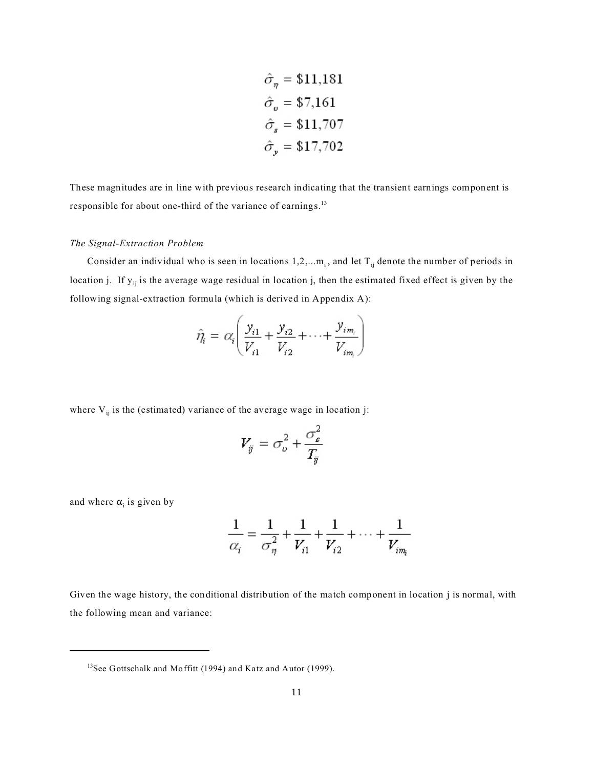$$
\hat{\sigma}_{\eta} = \$11,181
$$

$$
\hat{\sigma}_{\nu} = \$7,161
$$

$$
\hat{\sigma}_{s} = \$11,707
$$

$$
\hat{\sigma}_{\nu} = \$17,702
$$

These magnitudes are in line with previous research indicating that the transient earnings component is responsible for about one-third of the variance of earnings.<sup>13</sup>

## *The Signal-Extraction Problem*

Consider an individual who is seen in locations  $1, 2, \ldots, m_i$ , and let  $T_{ij}$  denote the number of periods in location j. If  $y_{ij}$  is the average wage residual in location j, then the estimated fixed effect is given by the following signal-extraction formula (which is derived in Appendix A):

$$
\hat{\eta}_i = \alpha_i \left( \frac{y_{i1}}{V_{i1}} + \frac{y_{i2}}{V_{i2}} + \dots + \frac{y_{im_i}}{V_{im_i}} \right)
$$

where  $V_{ii}$  is the (estimated) variance of the average wage in location j:

$$
V_{ij} = \sigma_{\nu}^2 + \frac{\sigma_{\varepsilon}^2}{T_{ij}}
$$

and where  $\alpha$ <sub>i</sub> is given by

$$
\frac{1}{\alpha_i} = \frac{1}{\sigma_{\eta}^2} + \frac{1}{V_{i1}} + \frac{1}{V_{i2}} + \dots + \frac{1}{V_{i m_i}}
$$

Given the wage history, the conditional distribution of the match component in location j is normal, with the following mean and variance:

<sup>&</sup>lt;sup>13</sup>See Gottschalk and Moffitt (1994) and Katz and Autor (1999).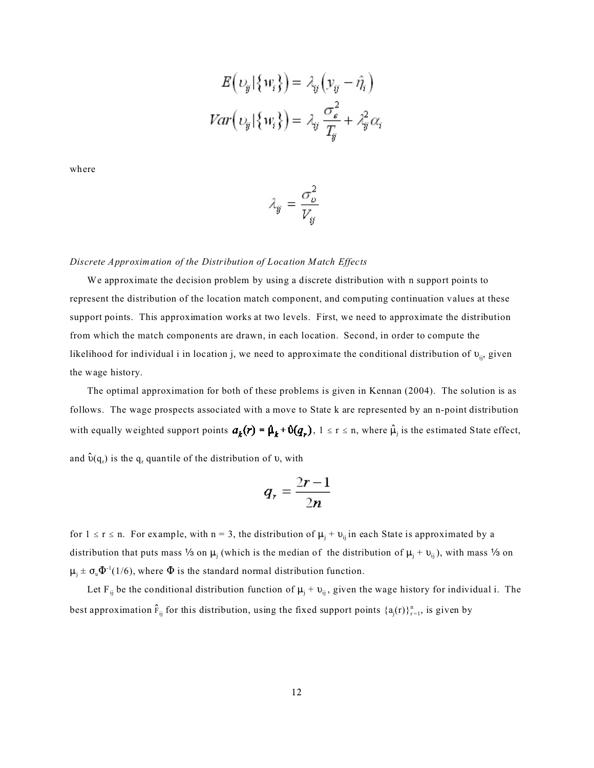$$
E(v_{ij}|\{w_i\}) = \lambda_{ij}(y_{ij} - \hat{\eta}_i)
$$

$$
Var(v_{ij}|\{w_i\}) = \lambda_{ij}\frac{\sigma_{\varepsilon}^2}{T_{ij}} + \lambda_{ij}^2 \alpha_i
$$

where

$$
\lambda_{ij} = \frac{\sigma_{\nu}^2}{V_{ij}}
$$

*Discrete Approximation of the Distribution of Location Match Effects*

We approximate the decision problem by using a discrete distribution with n support points to represent the distribution of the location match component, and computing continuation values at these support points. This approximation works at two levels. First, we need to approximate the distribution from which the match components are drawn, in each location. Second, in order to compute the likelihood for individual i in location j, we need to approximate the conditional distribution of  $v_{ij}$ , given the wage history.

The optimal approximation for both of these problems is given in Kennan (2004). The solution is as follows. The wage prospects associated with a move to State k are represented by an n-point distribution with equally weighted support points  $a_k(r) = \beta_k + \theta(q_r)$ ,  $1 \le r \le n$ , where  $\hat{\mu}_j$  is the estimated State effect, and  $\hat{\upsilon}(\mathbf{q}_{\mathrm{r}})$  is the  $\mathbf{q}_{\mathrm{r}}$  quantile of the distribution of  $\upsilon$ , with

$$
q_r = \frac{2r-1}{2n}
$$

for  $1 \le r \le n$ . For example, with  $n = 3$ , the distribution of  $\mu_j + \nu_{ij}$  in each State is approximated by a distribution that puts mass 1/3 on  $\mu_j$  (which is the median of the distribution of  $\mu_j + \nu_{ij}$ ), with mass 1/3 on  $\mu_j \pm \sigma_{\nu} \Phi^{-1}(1/6)$ , where  $\Phi$  is the standard normal distribution function.

Let F<sub>ij</sub> be the conditional distribution function of  $\mu_j + \nu_{ij}$ , given the wage history for individual i. The best approximation  $\hat{F}_{ij}$  for this distribution, using the fixed support points  $\{a_j(r)\}_{r=1}^n$ , is given by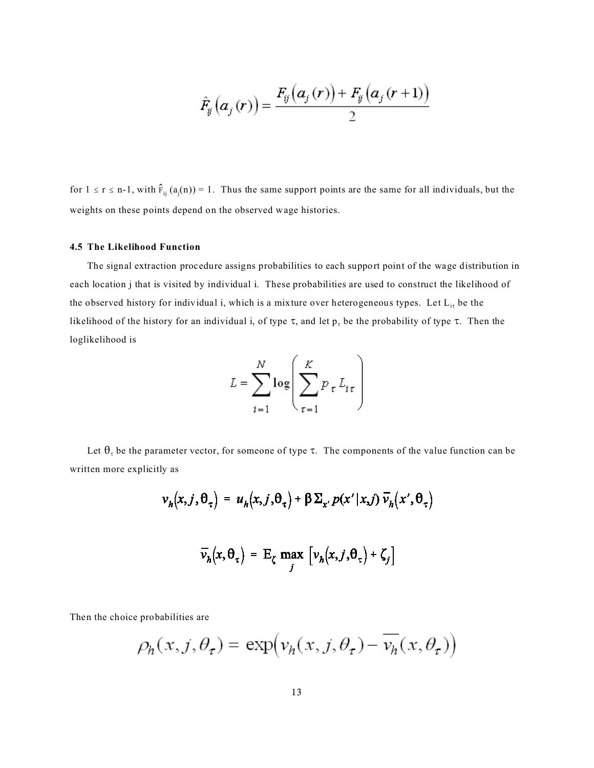$$
\hat{F}_{ij}\left(\boldsymbol{a}_j\left(\boldsymbol{r}\right)\right)=\frac{F_{ij}\left(\boldsymbol{a}_j\left(\boldsymbol{r}\right)\right)+F_{ij}\left(\boldsymbol{a}_j\left(\boldsymbol{r}+\boldsymbol{1}\right)\right)}{2}
$$

for  $1 \le r \le n-1$ , with  $\hat{F}_{ij}(a_j(n)) = 1$ . Thus the same support points are the same for all individuals, but the weights on these points depend on the observed wage histories.

### **4.5 The Likelihood Function**

The signal extraction procedure assigns probabilities to each support point of the wage distribution in each location j that is visited by individual i. These probabilities are used to construct the likelihood of the observed history for individual i, which is a mixture over heterogeneous types. Let  $L_{i\tau}$  be the likelihood of the history for an individual i, of type  $\tau$ , and let  $p_{\tau}$  be the probability of type  $\tau$ . Then the loglikelihood is

$$
L = \sum_{i=1}^{N} \log \left( \sum_{\tau=1}^{K} p_{\tau} L_{i\tau} \right)
$$

Let  $\theta_{\tau}$  be the parameter vector, for someone of type  $\tau$ . The components of the value function can be written more explicitly as

$$
v_h(x, j, \theta_\tau) = u_h(x, j, \theta_\tau) + \beta \Sigma_{x'} p(x' | x, j) \overline{v}_h(x', \theta_\tau)
$$

$$
\overline{v}_h(x, \theta_\tau) = E_\zeta \max_j \left[ v_h(x, j, \theta_\tau) + \zeta_j \right]
$$

Then the choice probabilities are

$$
\rho_h(x, j, \theta_\tau) = \exp(v_h(x, j, \theta_\tau) - \overline{v_h}(x, \theta_\tau))
$$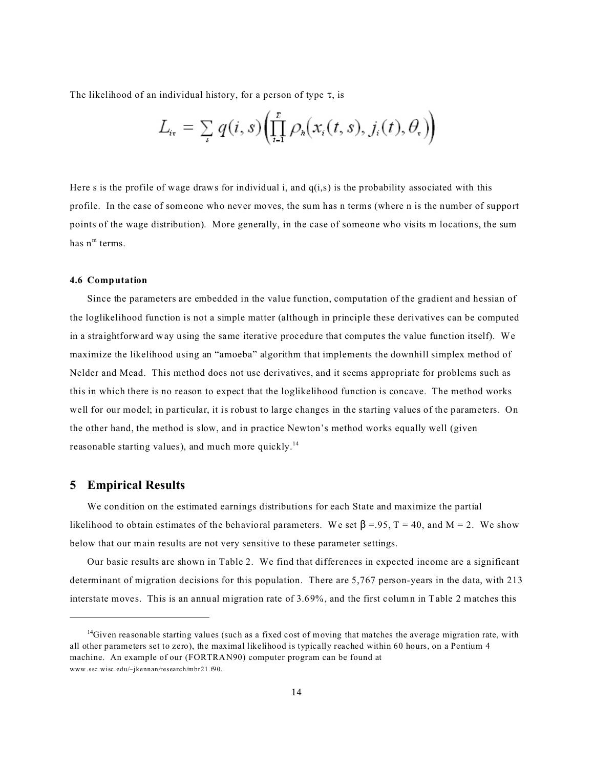The likelihood of an individual history, for a person of type  $\tau$ , is

$$
L_{i_{\tau}} = \sum_{s} q(i, s) \left( \prod_{i=1}^{n} \rho_{i}(x_{i}(t, s), j_{i}(t), \theta_{\tau}) \right)
$$

Here s is the profile of wage draws for individual i, and  $q(i,s)$  is the probability associated with this profile. In the case of someone who never moves, the sum has n terms (where n is the number of support points of the wage distribution). More generally, in the case of someone who visits m locations, the sum has  $n^m$  terms.

#### **4.6 Computation**

Since the parameters are embedded in the value function, computation of the gradient and hessian of the loglikelihood function is not a simple matter (although in principle these derivatives can be computed in a straightforward way using the same iterative procedure that computes the value function itself). We maximize the likelihood using an "amoeba" algorithm that implements the downhill simplex method of Nelder and Mead. This method does not use derivatives, and it seems appropriate for problems such as this in which there is no reason to expect that the loglikelihood function is concave. The method works well for our model; in particular, it is robust to large changes in the starting values of the parameters. On the other hand, the method is slow, and in practice Newton's method works equally well (given reasonable starting values), and much more quickly.<sup>14</sup>

## **5 Empirical Results**

We condition on the estimated earnings distributions for each State and maximize the partial likelihood to obtain estimates of the behavioral parameters. We set  $\beta = .95$ , T = 40, and M = 2. We show below that our main results are not very sensitive to these parameter settings.

Our basic results are shown in Table 2. We find that differences in expected income are a significant determinant of migration decisions for this population. There are 5,767 person-years in the data, with 213 interstate moves. This is an annual migration rate of 3.69%, and the first column in Table 2 matches this

<sup>&</sup>lt;sup>14</sup>Given reasonable starting values (such as a fixed cost of moving that matches the average migration rate, with all other parameters set to zero), the maximal likelihood is typically reached within 60 hours, on a Pentium 4 machine. An example of our (FORTRAN90) computer program can be found at www .ssc.wisc.edu/~jkennan/research/mbr21.f90.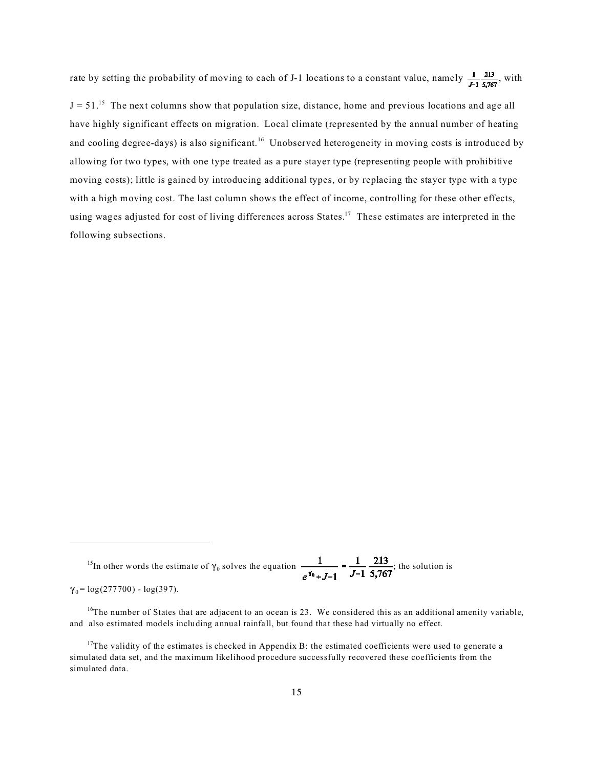rate by setting the probability of moving to each of J-1 locations to a constant value, namely  $\frac{1}{J-1} \frac{213}{5,767}$ , with

 $J = 51$ .<sup>15</sup> The next columns show that population size, distance, home and previous locations and age all have highly significant effects on migration. Local climate (represented by the annual number of heating and cooling degree-days) is also significant.<sup>16</sup> Unobserved heterogeneity in moving costs is introduced by allowing for two types, with one type treated as a pure stayer type (representing people with prohibitive moving costs); little is gained by introducing additional types, or by replacing the stayer type with a type with a high moving cost. The last column shows the effect of income, controlling for these other effects, using wages adjusted for cost of living differences across States.<sup>17</sup> These estimates are interpreted in the following subsections.

<sup>15</sup>In other words the estimate of  $\gamma_0$  solves the equation  $\frac{1}{\gamma_0} = \frac{1}{\gamma_0} = \frac{215}{\gamma_0}$ ; the solution is

 $\gamma_0 = \log(277700) - \log(397)$ .

 $16$ The number of States that are adjacent to an ocean is 23. We considered this as an additional amenity variable, and also estimated models including annual rainfall, but found that these had virtually no effect.

 $17$ The validity of the estimates is checked in Appendix B: the estimated coefficients were used to generate a simulated data set, and the maximum likelihood procedure successfully recovered these coefficients from the simulated data.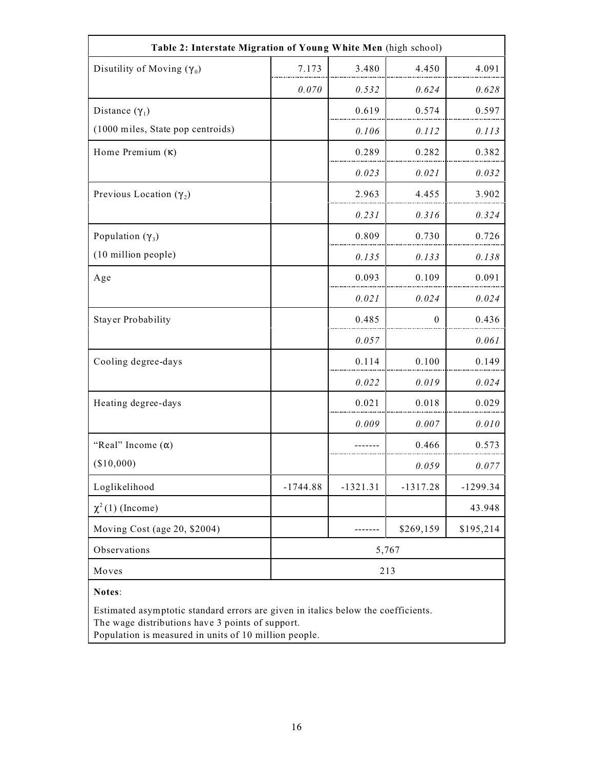| Table 2: Interstate Migration of Young White Men (high school) |            |            |            |            |  |
|----------------------------------------------------------------|------------|------------|------------|------------|--|
| Disutility of Moving $(\gamma_0)$                              | 7.173      | 3.480      | 4.450      | 4.091      |  |
|                                                                | 0.070      | 0.532      | 0.624      | 0.628      |  |
| Distance $(\gamma_1)$                                          |            | 0.619      | 0.574      | 0.597      |  |
| (1000 miles, State pop centroids)                              |            | 0.106      | 0.112      | 0.113      |  |
| Home Premium $(\kappa)$                                        |            | 0.289      | 0.282      | 0.382      |  |
|                                                                |            | 0.023      | 0.021      | 0.032      |  |
| Previous Location $(\gamma_2)$                                 |            | 2.963      | 4.455      | 3.902      |  |
|                                                                |            | 0.231      | 0.316      | 0.324      |  |
| Population $(\gamma_3)$                                        |            | 0.809      | 0.730      | 0.726      |  |
| (10 million people)                                            |            | 0.135      | 0.133      | 0.138      |  |
| Age                                                            |            | 0.093      | 0.109      | 0.091      |  |
|                                                                |            | 0.021      | 0.024      | 0.024      |  |
| <b>Stayer Probability</b>                                      |            | 0.485      | $\theta$   | 0.436      |  |
|                                                                |            | 0.057      |            | 0.061      |  |
| Cooling degree-days                                            |            | 0.114      | 0.100      | 0.149      |  |
|                                                                |            | 0.022      | 0.019      | 0.024      |  |
| Heating degree-days                                            |            | 0.021      | 0.018      | 0.029      |  |
|                                                                |            | 0.009      | 0.007      | 0.010      |  |
| "Real" Income $(\alpha)$                                       |            |            | 0.466      | 0.573      |  |
| (\$10,000)                                                     |            |            | 0.059      | 0.077      |  |
| Loglikelihood                                                  | $-1744.88$ | $-1321.31$ | $-1317.28$ | $-1299.34$ |  |
| $\chi^2(1)$ (Income)                                           |            |            |            | 43.948     |  |
| Moving Cost (age 20, \$2004)                                   |            |            | \$269,159  | \$195,214  |  |
| Observations                                                   | 5,767      |            |            |            |  |
| Moves                                                          | 213        |            |            |            |  |
| Notes:                                                         |            |            |            |            |  |

Estimated asymptotic standard errors are given in italics below the coefficients. The wage distributions have 3 points of support.

Population is measured in units of 10 million people.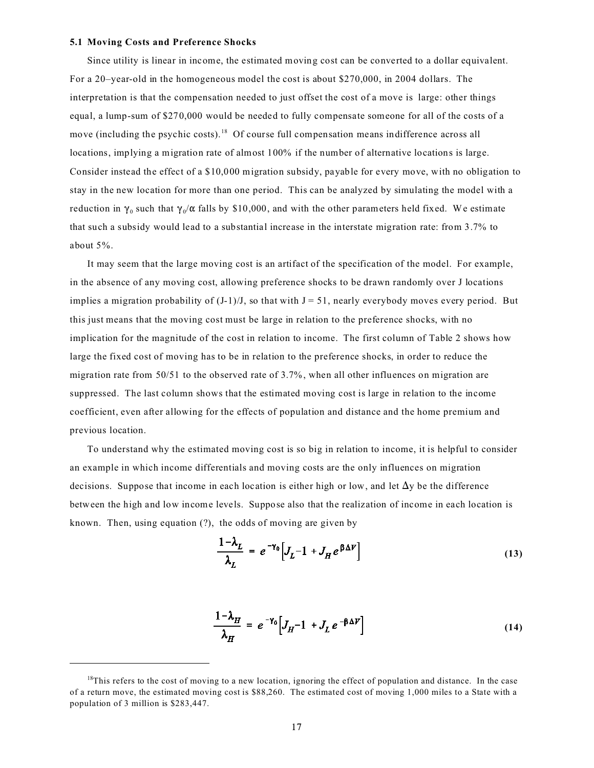### **5.1 Moving Costs and Preference Shocks**

Since utility is linear in income, the estimated moving cost can be converted to a dollar equivalent. For a 20–year-old in the homogeneous model the cost is about \$270,000, in 2004 dollars. The interpretation is that the compensation needed to just offset the cost of a move is large: other things equal, a lump-sum of \$270,000 would be needed to fully compensate someone for all of the costs of a move (including the psychic costs).<sup>18</sup> Of course full compensation means indifference across all locations, implying a migration rate of almost 100% if the number of alternative locations is large. Consider instead the effect of a \$10,000 migration subsidy, payable for every move, with no obligation to stay in the new location for more than one period. This can be analyzed by simulating the model with a reduction in  $\gamma_0$  such that  $\gamma_0/\alpha$  falls by \$10,000, and with the other parameters held fixed. We estimate that such a subsidy would lead to a substantial increase in the interstate migration rate: from 3.7% to about 5%.

It may seem that the large moving cost is an artifact of the specification of the model. For example, in the absence of any moving cost, allowing preference shocks to be drawn randomly over J locations implies a migration probability of  $(J-1)/J$ , so that with  $J = 51$ , nearly everybody moves every period. But this just means that the moving cost must be large in relation to the preference shocks, with no implication for the magnitude of the cost in relation to income. The first column of Table 2 shows how large the fixed cost of moving has to be in relation to the preference shocks, in order to reduce the migration rate from 50/51 to the observed rate of 3.7%, when all other influences on migration are suppressed. The last column shows that the estimated moving cost is large in relation to the income coefficient, even after allowing for the effects of population and distance and the home premium and previous location.

To understand why the estimated moving cost is so big in relation to income, it is helpful to consider an example in which income differentials and moving costs are the only influences on migration decisions. Suppose that income in each location is either high or low, and let  $\Delta y$  be the difference between the high and low income levels. Suppose also that the realization of income in each location is known. Then, using equation (?), the odds of moving are given by

$$
\frac{1-\lambda_L}{\lambda_L} = e^{-\gamma_0} \Big[ J_L - 1 + J_H e^{\beta \Delta V} \Big]
$$
\n(13)

$$
\frac{1-\lambda_H}{\lambda_H} = e^{-\gamma_0} \Big[ J_H - 1 + J_L e^{-\beta \Delta V} \Big]
$$
 (14)

 $18$ This refers to the cost of moving to a new location, ignoring the effect of population and distance. In the case of a return move, the estimated moving cost is \$88,260. The estimated cost of moving 1,000 miles to a State with a population of 3 million is \$283,447.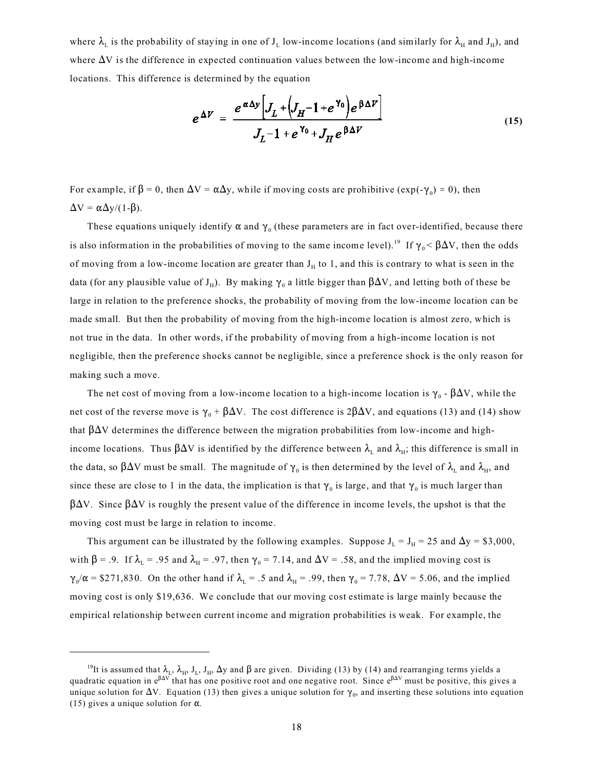where  $\lambda_L$  is the probability of staying in one of  $J_L$  low-income locations (and similarly for  $\lambda_H$  and  $J_H$ ), and where  $\Delta V$  is the difference in expected continuation values between the low-income and high-income locations. This difference is determined by the equation

$$
e^{\Delta V} = \frac{e^{\alpha \Delta y} \Big[ J_L + \Big( J_H - 1 + e^{\gamma_0} \Big) e^{\beta \Delta V} \Big]}{J_L - 1 + e^{\gamma_0} + J_H e^{\beta \Delta V}}
$$
(15)

For example, if  $\beta = 0$ , then  $\Delta V = \alpha \Delta y$ , while if moving costs are prohibitive (exp(- $\gamma_0$ )  $\approx 0$ ), then  $\Delta V = \alpha \Delta y/(1-\beta)$ .

These equations uniquely identify  $\alpha$  and  $\gamma_0$  (these parameters are in fact over-identified, because there is also information in the probabilities of moving to the same income level).<sup>19</sup> If  $\gamma_0 < \beta \Delta V$ , then the odds of moving from a low-income location are greater than  $J_H$  to 1, and this is contrary to what is seen in the data (for any plausible value of J<sub>H</sub>). By making  $\gamma_0$  a little bigger than  $\beta\Delta{\rm V}$ , and letting both of these be large in relation to the preference shocks, the probability of moving from the low-income location can be made small. But then the probability of moving from the high-income location is almost zero, which is not true in the data. In other words, if the probability of moving from a high-income location is not negligible, then the preference shocks cannot be negligible, since a preference shock is the only reason for making such a move.

The net cost of moving from a low-income location to a high-income location is  $\gamma_0$  -  $\beta \Delta V$ , while the net cost of the reverse move is  $\gamma_0 + \beta \Delta V$ . The cost difference is 2 $\beta \Delta V$ , and equations (13) and (14) show that  $\beta\Delta V$  determines the difference between the migration probabilities from low-income and highincome locations. Thus  $\beta\Delta V$  is identified by the difference between  $\lambda_{\rm L}$  and  $\lambda_{\rm H}$ ; this difference is small in the data, so  $\beta \Delta V$  must be small. The magnitude of  $\gamma_0$  is then determined by the level of  $\lambda_{\rm L}$  and  $\lambda_{\rm H}$ , and since these are close to 1 in the data, the implication is that  $\gamma_0$  is large, and that  $\gamma_0$  is much larger than  $\beta \Delta V$ . Since  $\beta \Delta V$  is roughly the present value of the difference in income levels, the upshot is that the moving cost must be large in relation to income.

This argument can be illustrated by the following examples. Suppose  $J_L = J_H = 25$  and  $\Delta y = $3,000$ , with  $\beta$  = .9. If  $\lambda_L$  = .95 and  $\lambda_H$  = .97, then  $\gamma_0$  = 7.14, and  $\Delta V$  = .58, and the implied moving cost is  $\gamma_0/\alpha$  = \$271,830. On the other hand if  $\lambda_L$  = .5 and  $\lambda_H$  = .99, then  $\gamma_0$  = 7.78,  $\Delta V$  = 5.06, and the implied moving cost is only \$19,636. We conclude that our moving cost estimate is large mainly because the empirical relationship between current income and migration probabilities is weak. For example, the

<sup>&</sup>lt;sup>19</sup>It is assumed that  $\lambda_L$ ,  $\lambda_H$ , J<sub>L</sub>, J<sub>H</sub>,  $\Delta y$  and  $\beta$  are given. Dividing (13) by (14) and rearranging terms yields a quadratic equation in e<sup> $\beta \Delta V$ </sup> that has one positive root and one negative root. Since e<sup> $\beta \Delta V$ </sup> must be positive, this gives a unique solution for  $\Delta V$ . Equation (13) then gives a unique solution for  $\gamma_0$ , and inserting these solutions into equation (15) gives a unique solution for  $\alpha$ .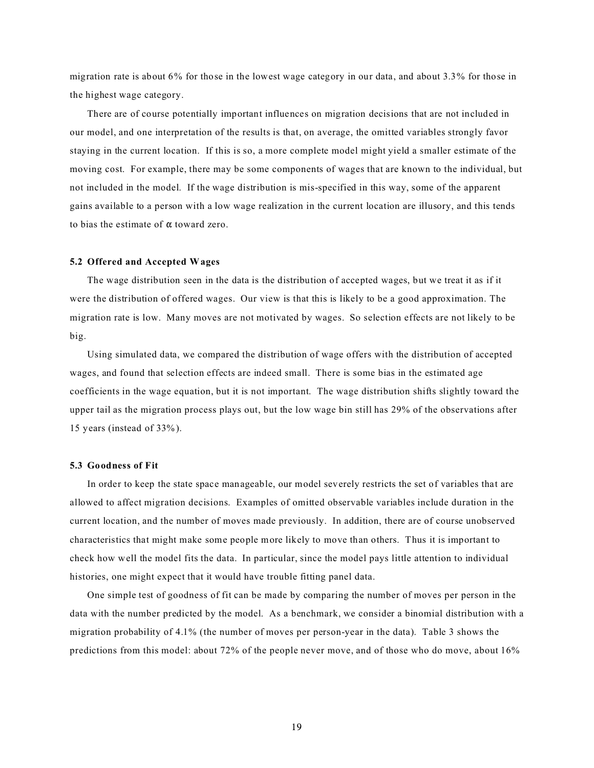migration rate is about 6% for those in the lowest wage category in our data, and about 3.3% for those in the highest wage category.

There are of course potentially important influences on migration decisions that are not included in our model, and one interpretation of the results is that, on average, the omitted variables strongly favor staying in the current location. If this is so, a more complete model might yield a smaller estimate of the moving cost. For example, there may be some components of wages that are known to the individual, but not included in the model. If the wage distribution is mis-specified in this way, some of the apparent gains available to a person with a low wage realization in the current location are illusory, and this tends to bias the estimate of  $\alpha$  toward zero.

### **5.2 Offered and Accepted Wages**

The wage distribution seen in the data is the distribution of accepted wages, but we treat it as if it were the distribution of offered wages. Our view is that this is likely to be a good approximation. The migration rate is low. Many moves are not motivated by wages. So selection effects are not likely to be big.

Using simulated data, we compared the distribution of wage offers with the distribution of accepted wages, and found that selection effects are indeed small. There is some bias in the estimated age coefficients in the wage equation, but it is not important. The wage distribution shifts slightly toward the upper tail as the migration process plays out, but the low wage bin still has 29% of the observations after 15 years (instead of 33%).

#### **5.3 Goodness of Fit**

In order to keep the state space manageable, our model severely restricts the set of variables that are allowed to affect migration decisions. Examples of omitted observable variables include duration in the current location, and the number of moves made previously. In addition, there are of course unobserved characteristics that might make some people more likely to move than others. Thus it is important to check how well the model fits the data. In particular, since the model pays little attention to individual histories, one might expect that it would have trouble fitting panel data.

One simple test of goodness of fit can be made by comparing the number of moves per person in the data with the number predicted by the model. As a benchmark, we consider a binomial distribution with a migration probability of 4.1% (the number of moves per person-year in the data). Table 3 shows the predictions from this model: about 72% of the people never move, and of those who do move, about 16%

19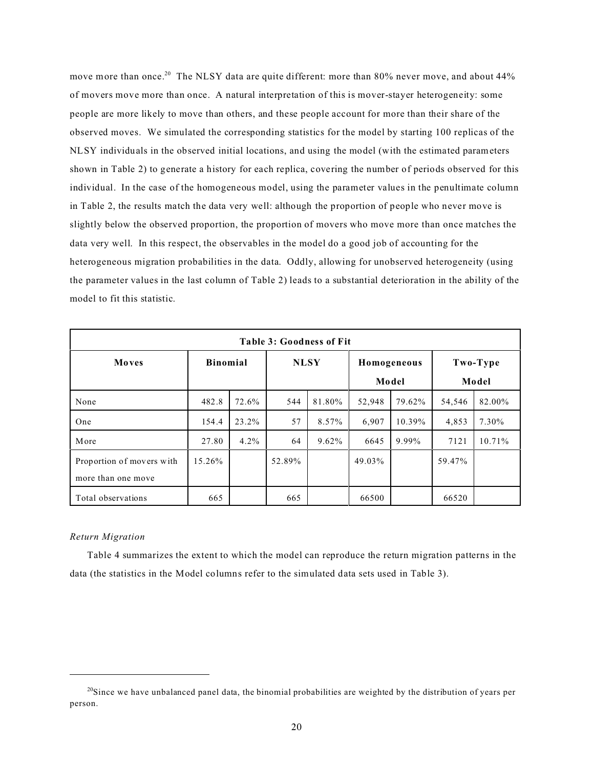move more than once.<sup>20</sup> The NLSY data are quite different: more than 80% never move, and about 44% of movers move more than once. A natural interpretation of this is mover-stayer heterogeneity: some people are more likely to move than others, and these people account for more than their share of the observed moves. We simulated the corresponding statistics for the model by starting 100 replicas of the NLSY individuals in the observed initial locations, and using the model (with the estimated parameters shown in Table 2) to generate a history for each replica, covering the number of periods observed for this individual. In the case of the homogeneous model, using the parameter values in the penultimate column in Table 2, the results match the data very well: although the proportion of people who never move is slightly below the observed proportion, the proportion of movers who move more than once matches the data very well. In this respect, the observables in the model do a good job of accounting for the heterogeneous migration probabilities in the data. Oddly, allowing for unobserved heterogeneity (using the parameter values in the last column of Table 2) leads to a substantial deterioration in the ability of the model to fit this statistic.

| <b>Table 3: Goodness of Fit</b> |                 |         |             |          |             |        |          |        |
|---------------------------------|-----------------|---------|-------------|----------|-------------|--------|----------|--------|
| Moves                           | <b>Binomial</b> |         | <b>NLSY</b> |          | Homogeneous |        | Two-Type |        |
|                                 |                 |         | Model       |          | Model       |        |          |        |
| None                            | 482.8           | 72.6%   | 544         | 81.80%   | 52,948      | 79.62% | 54,546   | 82.00% |
| One                             | 154.4           | 23.2%   | 57          | 8.57%    | 6,907       | 10.39% | 4,853    | 7.30%  |
| More                            | 27.80           | $4.2\%$ | 64          | $9.62\%$ | 6645        | 9.99%  | 7121     | 10.71% |
| Proportion of movers with       | 15.26%          |         | 52.89%      |          | 49.03%      |        | 59.47%   |        |
| more than one move              |                 |         |             |          |             |        |          |        |
| Total observations              | 665             |         | 665         |          | 66500       |        | 66520    |        |

### *Return Migration*

Table 4 summarizes the extent to which the model can reproduce the return migration patterns in the data (the statistics in the Model columns refer to the simulated data sets used in Table 3).

 $^{20}$ Since we have unbalanced panel data, the binomial probabilities are weighted by the distribution of years per person.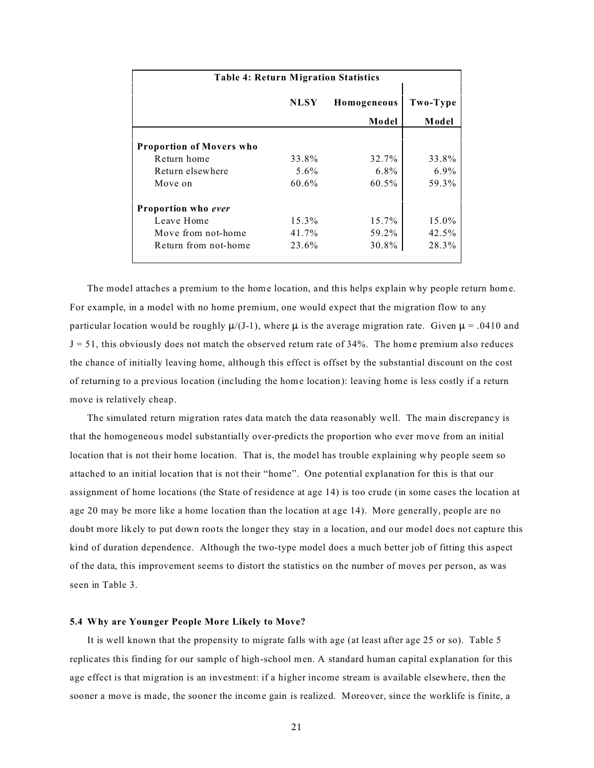| <b>Table 4: Return Migration Statistics</b> |             |          |         |  |  |  |
|---------------------------------------------|-------------|----------|---------|--|--|--|
|                                             | <b>NLSY</b> | Two-Type |         |  |  |  |
|                                             |             | Model    | Model   |  |  |  |
| <b>Proportion of Movers who</b>             |             |          |         |  |  |  |
| Return home                                 | 33.8%       | 32.7%    | 33.8%   |  |  |  |
| Return elsewhere                            | 5.6%        | $6.8\%$  | $6.9\%$ |  |  |  |
| Move on                                     | 60.6%       | $60.5\%$ | 59.3%   |  |  |  |
| Proportion who ever                         |             |          |         |  |  |  |
| Leave Home                                  | 15.3%       | 15.7%    | 15.0%   |  |  |  |
| Move from not-home                          | 41.7%       | 59.2%    | 42.5%   |  |  |  |
| Return from not-home                        | 23.6%       | 30.8%    | 28.3%   |  |  |  |

The model attaches a premium to the home location, and this helps explain why people return home. For example, in a model with no home premium, one would expect that the migration flow to any particular location would be roughly  $\mu$ /(J-1), where  $\mu$  is the average migration rate. Given  $\mu$  = .0410 and  $J = 51$ , this obviously does not match the observed return rate of 34%. The home premium also reduces the chance of initially leaving home, although this effect is offset by the substantial discount on the cost of returning to a previous location (including the home location): leaving home is less costly if a return move is relatively cheap.

The simulated return migration rates data match the data reasonably well. The main discrepancy is that the homogeneous model substantially over-predicts the proportion who ever move from an initial location that is not their home location. That is, the model has trouble explaining why people seem so attached to an initial location that is not their "home". One potential explanation for this is that our assignment of home locations (the State of residence at age 14) is too crude (in some cases the location at age 20 may be more like a home location than the location at age 14). More generally, people are no doubt more likely to put down roots the longer they stay in a location, and our model does not capture this kind of duration dependence. Although the two-type model does a much better job of fitting this aspect of the data, this improvement seems to distort the statistics on the number of moves per person, as was seen in Table 3.

### **5.4 Why are Younger People More Likely to Move?**

It is well known that the propensity to migrate falls with age (at least after age 25 or so). Table 5 replicates this finding for our sample of high-school men. A standard human capital explanation for this age effect is that migration is an investment: if a higher income stream is available elsewhere, then the sooner a move is made, the sooner the income gain is realized. Moreover, since the worklife is finite, a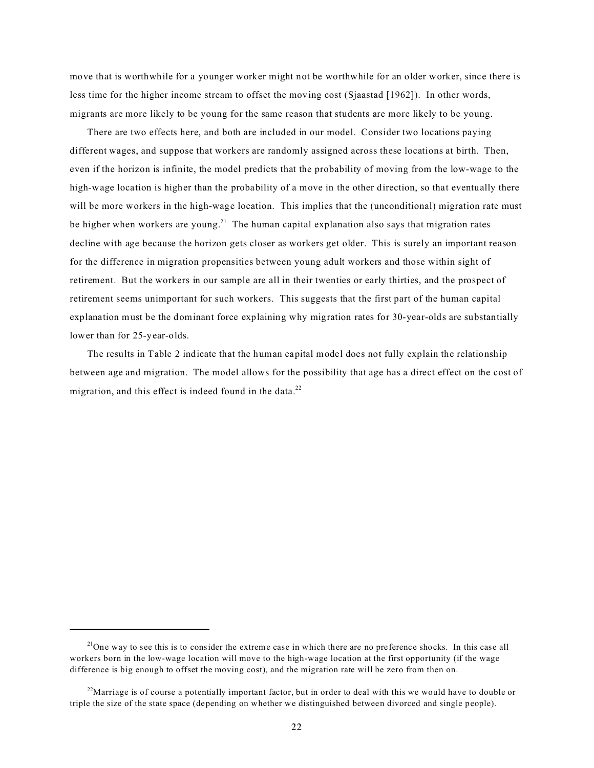move that is worthwhile for a younger worker might not be worthwhile for an older worker, since there is less time for the higher income stream to offset the moving cost (Sjaastad [1962]). In other words, migrants are more likely to be young for the same reason that students are more likely to be young.

There are two effects here, and both are included in our model. Consider two locations paying different wages, and suppose that workers are randomly assigned across these locations at birth. Then, even if the horizon is infinite, the model predicts that the probability of moving from the low-wage to the high-wage location is higher than the probability of a move in the other direction, so that eventually there will be more workers in the high-wage location. This implies that the (unconditional) migration rate must be higher when workers are young.<sup>21</sup> The human capital explanation also says that migration rates decline with age because the horizon gets closer as workers get older. This is surely an important reason for the difference in migration propensities between young adult workers and those within sight of retirement. But the workers in our sample are all in their twenties or early thirties, and the prospect of retirement seems unimportant for such workers. This suggests that the first part of the human capital explanation must be the dominant force explaining why migration rates for 30-year-olds are substantially lower than for 25-year-olds.

The results in Table 2 indicate that the human capital model does not fully explain the relationship between age and migration. The model allows for the possibility that age has a direct effect on the cost of migration, and this effect is indeed found in the data.<sup>22</sup>

 $21$ One way to see this is to consider the extreme case in which there are no preference shocks. In this case all workers born in the low-wage location will move to the high-wage location at the first opportunity (if the wage difference is big enough to offset the moving cost), and the migration rate will be zero from then on.

 $22$ Marriage is of course a potentially important factor, but in order to deal with this we would have to double or triple the size of the state space (depending on whether we distinguished between divorced and single people).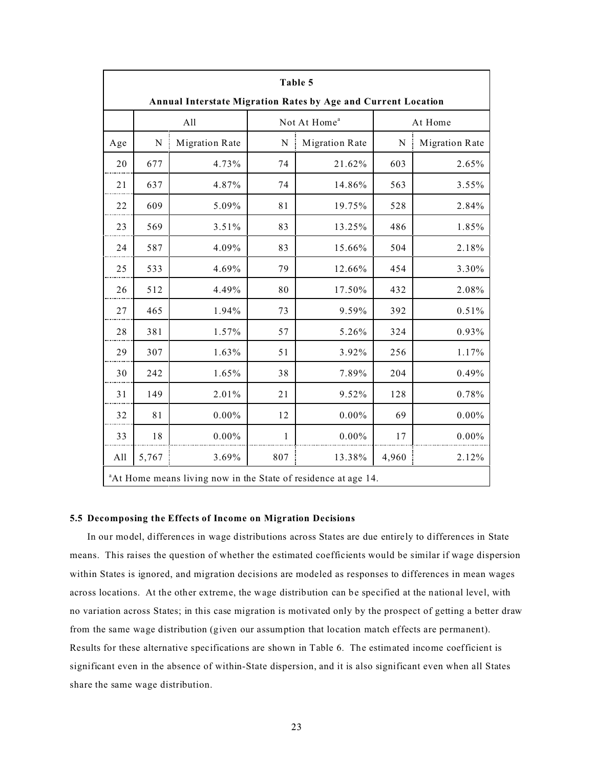| Table 5                                                                    |       |                       |                          |                       |         |                       |
|----------------------------------------------------------------------------|-------|-----------------------|--------------------------|-----------------------|---------|-----------------------|
| Annual Interstate Migration Rates by Age and Current Location              |       |                       |                          |                       |         |                       |
|                                                                            | All   |                       | Not At Home <sup>a</sup> |                       | At Home |                       |
| Age                                                                        | N     | <b>Migration Rate</b> | N                        | <b>Migration Rate</b> | N       | <b>Migration Rate</b> |
| 20                                                                         | 677   | 4.73%                 | 74                       | 21.62%                | 603     | 2.65%                 |
| 21                                                                         | 637   | 4.87%                 | 74                       | 14.86%                | 563     | 3.55%                 |
| 22                                                                         | 609   | 5.09%                 | 81                       | 19.75%                | 528     | 2.84%                 |
| 23                                                                         | 569   | 3.51%                 | 83                       | 13.25%                | 486     | 1.85%                 |
| 24                                                                         | 587   | 4.09%                 | 83                       | 15.66%                | 504     | 2.18%                 |
| 25                                                                         | 533   | 4.69%                 | 79                       | 12.66%                | 454     | 3.30%                 |
| 26                                                                         | 512   | 4.49%                 | 80                       | 17.50%                | 432     | 2.08%                 |
| 27                                                                         | 465   | 1.94%                 | 73                       | 9.59%                 | 392     | 0.51%                 |
| 28                                                                         | 381   | 1.57%                 | 57                       | 5.26%                 | 324     | 0.93%                 |
| 29                                                                         | 307   | 1.63%                 | 51                       | 3.92%                 | 256     | 1.17%                 |
| 30                                                                         | 242   | 1.65%                 | 38                       | 7.89%                 | 204     | 0.49%                 |
| 31                                                                         | 149   | 2.01%                 | 21                       | 9.52%                 | 128     | 0.78%                 |
| 32                                                                         | 81    | $0.00\%$              | 12                       | $0.00\%$              | 69      | $0.00\%$              |
| 33                                                                         | 18    | $0.00\%$              | 1                        | $0.00\%$              | 17      | $0.00\%$              |
| All                                                                        | 5,767 | 3.69%                 | 807                      | 13.38%                | 4,960   | 2.12%                 |
| <sup>a</sup> At Home means living now in the State of residence at age 14. |       |                       |                          |                       |         |                       |

### **5.5 Decomposing the Effects of Income on Migration Decisions**

In our model, differences in wage distributions across States are due entirely to differences in State means. This raises the question of whether the estimated coefficients would be similar if wage dispersion within States is ignored, and migration decisions are modeled as responses to differences in mean wages across locations. At the other extreme, the wage distribution can be specified at the national level, with no variation across States; in this case migration is motivated only by the prospect of getting a better draw from the same wage distribution (given our assumption that location match effects are permanent). Results for these alternative specifications are shown in Table 6. The estimated income coefficient is significant even in the absence of within-State dispersion, and it is also significant even when all States share the same wage distribution.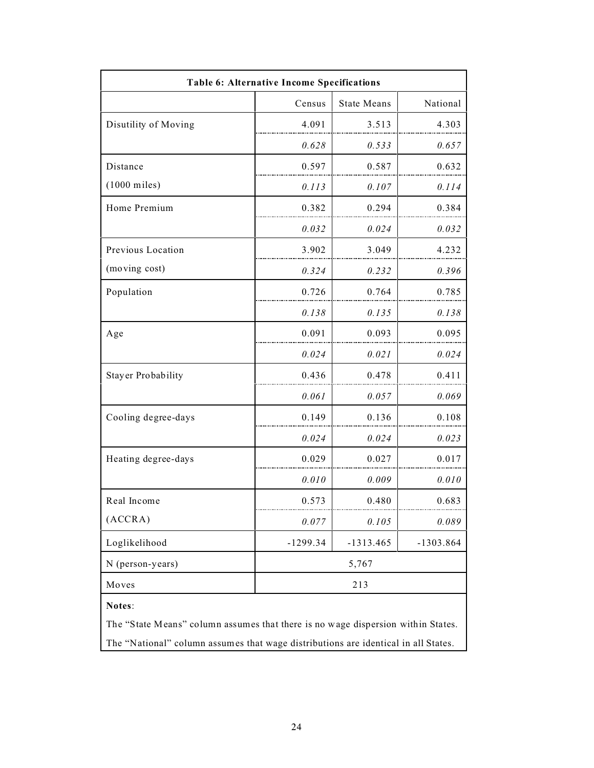| Table 6: Alternative Income Specifications                                         |            |                    |             |  |  |  |
|------------------------------------------------------------------------------------|------------|--------------------|-------------|--|--|--|
|                                                                                    | Census     | <b>State Means</b> | National    |  |  |  |
| Disutility of Moving                                                               | 4.091      | 3.513              | 4.303       |  |  |  |
|                                                                                    | 0.628      | 0.533              | 0.657       |  |  |  |
| Distance                                                                           | 0.597      | 0.587              | 0.632       |  |  |  |
| (1000 miles)                                                                       | 0.113      | 0.107              | 0.114       |  |  |  |
| Home Premium                                                                       | 0.382      | 0.294              | 0.384       |  |  |  |
|                                                                                    | 0.032      | 0.024              | 0.032       |  |  |  |
| Previous Location                                                                  | 3.902      | 3.049              | 4.232       |  |  |  |
| (moving cost)                                                                      | 0.324      | 0.232              | 0.396       |  |  |  |
| Population                                                                         | 0.726      | 0.764              | 0.785       |  |  |  |
|                                                                                    | 0.138      | 0.135              | 0.138       |  |  |  |
| Age                                                                                | 0.091      | 0.093              | 0.095       |  |  |  |
|                                                                                    | 0.024      | 0.021              | 0.024       |  |  |  |
| <b>Stayer Probability</b>                                                          | 0.436      | 0.478              | 0.411       |  |  |  |
|                                                                                    | 0.061      | 0.057              | 0.069       |  |  |  |
| Cooling degree-days                                                                | 0.149      | 0.136              | 0.108       |  |  |  |
|                                                                                    | 0.024      | 0.024              | 0.023       |  |  |  |
| Heating degree-days                                                                | 0.029      | 0.027              | 0.017       |  |  |  |
|                                                                                    | 0.010      | 0.009              | 0.010       |  |  |  |
| Real Income                                                                        | 0.573      | 0.480              | 0.683       |  |  |  |
| (ACCRA)                                                                            | 0.077      | 0.105              | 0.089       |  |  |  |
| Loglikelihood                                                                      | $-1299.34$ | $-1313.465$        | $-1303.864$ |  |  |  |
| N (person-years)                                                                   |            | 5,767              |             |  |  |  |
| Moves                                                                              |            | 213                |             |  |  |  |
| Notes:                                                                             |            |                    |             |  |  |  |
| The "State Means" column assumes that there is no wage dispersion within States.   |            |                    |             |  |  |  |
| The "National" column assumes that wage distributions are identical in all States. |            |                    |             |  |  |  |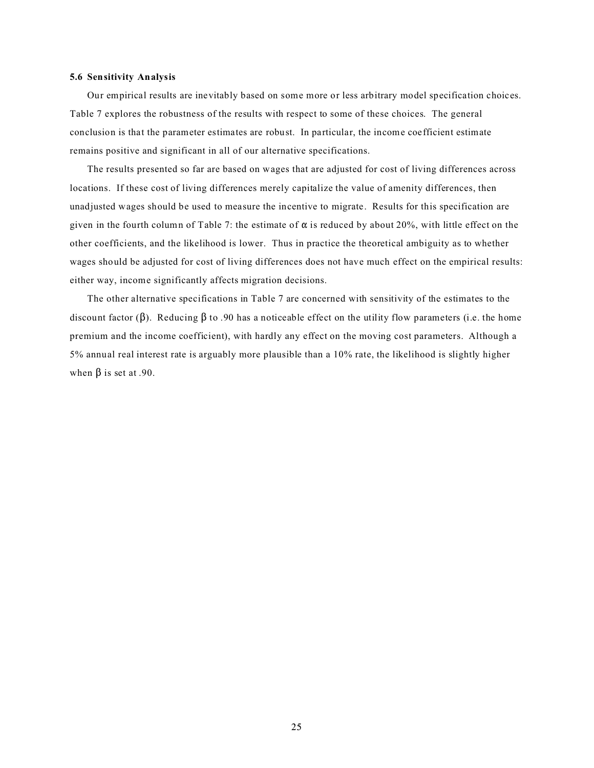#### **5.6 Sensitivity Analysis**

Our empirical results are inevitably based on some more or less arbitrary model specification choices. Table 7 explores the robustness of the results with respect to some of these choices. The general conclusion is that the parameter estimates are robust. In particular, the income coefficient estimate remains positive and significant in all of our alternative specifications.

The results presented so far are based on wages that are adjusted for cost of living differences across locations. If these cost of living differences merely capitalize the value of amenity differences, then unadjusted wages should be used to measure the incentive to migrate. Results for this specification are given in the fourth column of Table 7: the estimate of  $\alpha$  is reduced by about 20%, with little effect on the other coefficients, and the likelihood is lower. Thus in practice the theoretical ambiguity as to whether wages should be adjusted for cost of living differences does not have much effect on the empirical results: either way, income significantly affects migration decisions.

The other alternative specifications in Table 7 are concerned with sensitivity of the estimates to the discount factor ( $\beta$ ). Reducing  $\beta$  to .90 has a noticeable effect on the utility flow parameters (i.e. the home premium and the income coefficient), with hardly any effect on the moving cost parameters. Although a 5% annual real interest rate is arguably more plausible than a 10% rate, the likelihood is slightly higher when  $\beta$  is set at .90.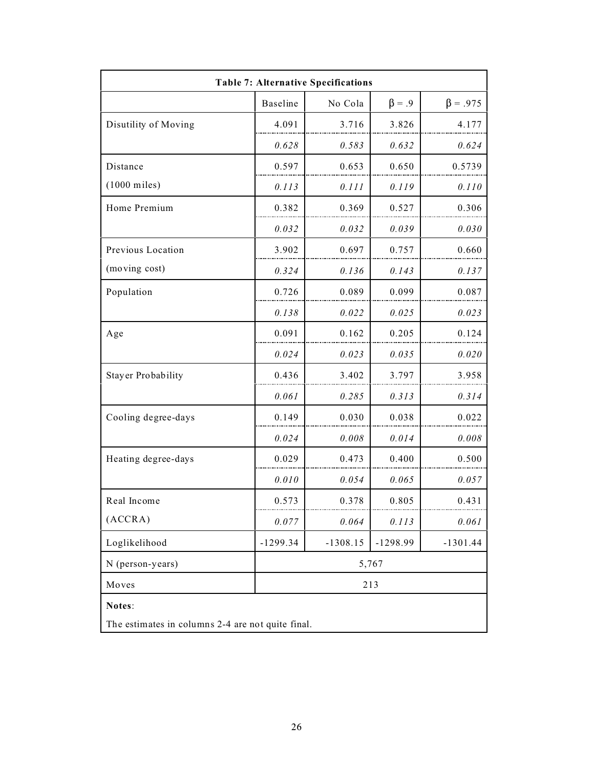| <b>Table 7: Alternative Specifications</b>        |            |            |              |                |  |  |
|---------------------------------------------------|------------|------------|--------------|----------------|--|--|
|                                                   | Baseline   | No Cola    | $\beta = .9$ | $\beta = .975$ |  |  |
| Disutility of Moving                              | 4.091      | 3.716      | 3.826        | 4.177          |  |  |
|                                                   | 0.628      | 0.583      | 0.632        | 0.624          |  |  |
| Distance                                          | 0.597      | 0.653      | 0.650        | 0.5739         |  |  |
| $(1000 \text{ miles})$                            | 0.113      | 0.111      | 0.119        | 0.110          |  |  |
| Home Premium                                      | 0.382      | 0.369      | 0.527        | 0.306          |  |  |
|                                                   | 0.032      | 0.032      | 0.039        | 0.030          |  |  |
| Previous Location                                 | 3.902      | 0.697      | 0.757        | 0.660          |  |  |
| (moving cost)                                     | 0.324      | 0.136      | 0.143        | 0.137          |  |  |
| Population                                        | 0.726      | 0.089      | 0.099        | 0.087          |  |  |
|                                                   | 0.138      | 0.022      | 0.025        | 0.023          |  |  |
| Age                                               | 0.091      | 0.162      | 0.205        | 0.124          |  |  |
|                                                   | 0.024      | 0.023      | 0.035        | 0.020          |  |  |
| <b>Stayer Probability</b>                         | 0.436      | 3.402      | 3.797        | 3.958          |  |  |
|                                                   | 0.061      | 0.285      | 0.313        | 0.314          |  |  |
| Cooling degree-days                               | 0.149      | 0.030      | 0.038        | 0.022          |  |  |
|                                                   | 0.024      | 0.008      | 0.014        | 0.008          |  |  |
| Heating degree-days                               | 0.029      | 0.473      | 0.400        | 0.500          |  |  |
|                                                   | 0.010      | 0.054      | 0.065        | 0.057          |  |  |
| Real Income                                       | 0.573      | 0.378      | 0.805        | 0.431          |  |  |
| (ACCRA)                                           | 0.077      | 0.064      | 0.113        | 0.061          |  |  |
| Loglikelihood                                     | $-1299.34$ | $-1308.15$ | $-1298.99$   | $-1301.44$     |  |  |
| N (person-years)                                  |            | 5,767      |              |                |  |  |
| Moves                                             | 213        |            |              |                |  |  |
| Notes:                                            |            |            |              |                |  |  |
| The estimates in columns 2-4 are not quite final. |            |            |              |                |  |  |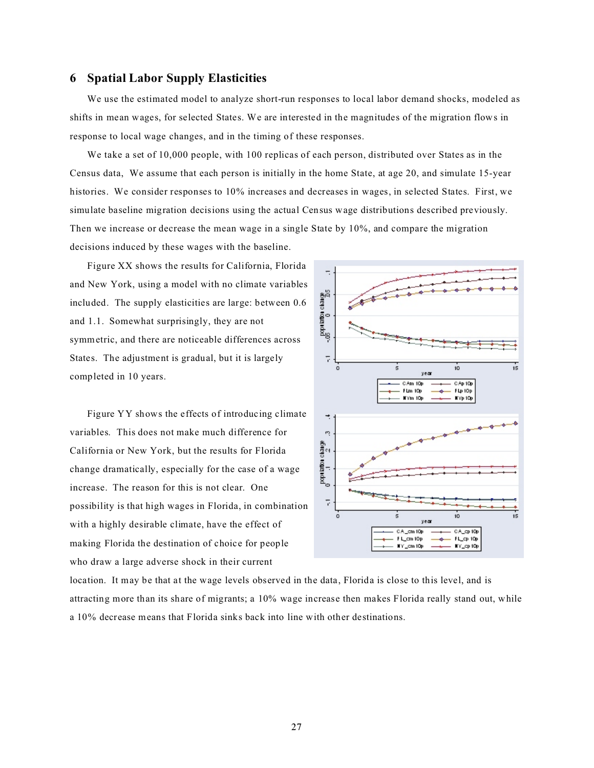## **6 Spatial Labor Supply Elasticities**

We use the estimated model to analyze short-run responses to local labor demand shocks, modeled as shifts in mean wages, for selected States. We are interested in the magnitudes of the migration flows in response to local wage changes, and in the timing of these responses.

We take a set of 10,000 people, with 100 replicas of each person, distributed over States as in the Census data, We assume that each person is initially in the home State, at age 20, and simulate 15-year histories. We consider responses to 10% increases and decreases in wages, in selected States. First, we simulate baseline migration decisions using the actual Census wage distributions described previously. Then we increase or decrease the mean wage in a single State by 10%, and compare the migration decisions induced by these wages with the baseline.

Figure XX shows the results for California, Florida and New York, using a model with no climate variables included. The supply elasticities are large: between 0.6 and 1.1. Somewhat surprisingly, they are not symmetric, and there are noticeable differences across States. The adjustment is gradual, but it is largely completed in 10 years.

Figure YY shows the effects of introducing climate variables. This does not make much difference for California or New York, but the results for Florida change dramatically, especially for the case of a wage increase. The reason for this is not clear. One possibility is that high wages in Florida, in combination with a highly desirable climate, have the effect of making Florida the destination of choice for people who draw a large adverse shock in their current



location. It may be that at the wage levels observed in the data, Florida is close to this level, and is attracting more than its share of migrants; a 10% wage increase then makes Florida really stand out, while a 10% decrease means that Florida sinks back into line with other destinations.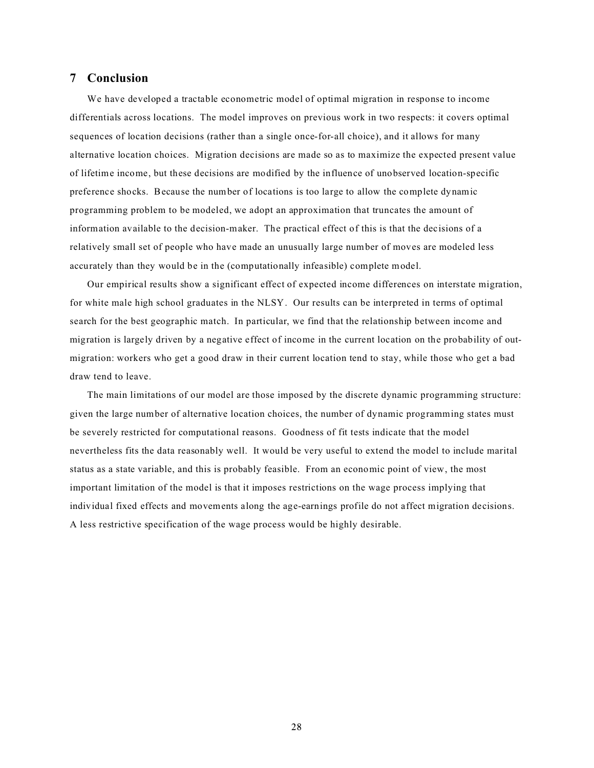## **7 Conclusion**

We have developed a tractable econometric model of optimal migration in response to income differentials across locations. The model improves on previous work in two respects: it covers optimal sequences of location decisions (rather than a single once-for-all choice), and it allows for many alternative location choices. Migration decisions are made so as to maximize the expected present value of lifetime income, but these decisions are modified by the influence of unobserved location-specific preference shocks. Because the number of locations is too large to allow the complete dynamic programming problem to be modeled, we adopt an approximation that truncates the amount of information available to the decision-maker. The practical effect of this is that the decisions of a relatively small set of people who have made an unusually large number of moves are modeled less accurately than they would be in the (computationally infeasible) complete model.

Our empirical results show a significant effect of expected income differences on interstate migration, for white male high school graduates in the NLSY. Our results can be interpreted in terms of optimal search for the best geographic match. In particular, we find that the relationship between income and migration is largely driven by a negative effect of income in the current location on the probability of outmigration: workers who get a good draw in their current location tend to stay, while those who get a bad draw tend to leave.

The main limitations of our model are those imposed by the discrete dynamic programming structure: given the large number of alternative location choices, the number of dynamic programming states must be severely restricted for computational reasons. Goodness of fit tests indicate that the model nevertheless fits the data reasonably well. It would be very useful to extend the model to include marital status as a state variable, and this is probably feasible. From an economic point of view, the most important limitation of the model is that it imposes restrictions on the wage process implying that individual fixed effects and movements along the age-earnings profile do not affect migration decisions. A less restrictive specification of the wage process would be highly desirable.

28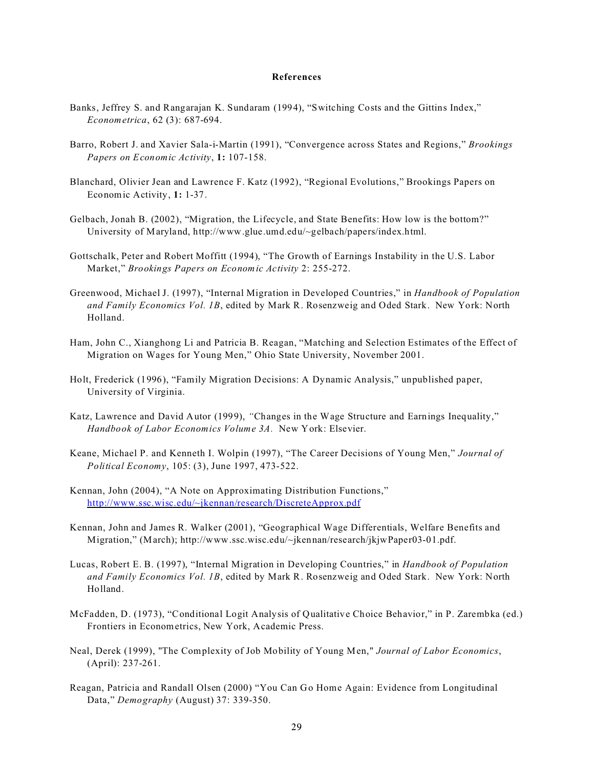#### **References**

- Banks, Jeffrey S. and Rangarajan K. Sundaram (1994), "Switching Costs and the Gittins Index," *Econometrica*, 62 (3): 687-694.
- Barro, Robert J. and Xavier Sala-i-Martin (1991), "Convergence across States and Regions," *Brookings Papers on Economic Activity*, **1:** 107-158.
- Blanchard, Olivier Jean and Lawrence F. Katz (1992), "Regional Evolutions," Brookings Papers on Economic Activity, **1:** 1-37.
- Gelbach, Jonah B. (2002), "Migration, the Lifecycle, and State Benefits: How low is the bottom?" University of Maryland, http://www.glue.umd.edu/~gelbach/papers/index.html.
- Gottschalk, Peter and Robert Moffitt (1994), "The Growth of Earnings Instability in the U.S. Labor Market," *Brookings Papers on Economic Activity* 2: 255-272.
- Greenwood, Michael J. (1997), "Internal Migration in Developed Countries," in *Handbook of Population and Family Economics Vol. 1B*, edited by Mark R. Rosenzweig and Oded Stark. New York: North Holland.
- Ham, John C., Xianghong Li and Patricia B. Reagan, "Matching and Selection Estimates of the Effect of Migration on Wages for Young Men," Ohio State University, November 2001.
- Holt, Frederick (1996), "Family Migration Decisions: A Dynamic Analysis," unpublished paper, University of Virginia.
- Katz, Lawrence and David Autor (1999), *"*Changes in the Wage Structure and Earnings Inequality," *Handbook of Labor Economics Volume 3A.* New York: Elsevier.
- Keane, Michael P. and Kenneth I. Wolpin (1997), "The Career Decisions of Young Men," *Journal of Political Economy*, 105: (3), June 1997, 473-522.
- Kennan, John (2004), "A Note on Approximating Distribution Functions," <http://www.ssc.wisc.edu/~jkennan/research/DiscreteApprox.pdf>
- Kennan, John and James R. Walker (2001), "Geographical Wage Differentials, Welfare Benefits and Migration," (March); http://www.ssc.wisc.edu/~jkennan/research/jkjwPaper03-01.pdf.
- Lucas, Robert E. B. (1997), "Internal Migration in Developing Countries," in *Handbook of Population and Family Economics Vol. 1B*, edited by Mark R. Rosenzweig and Oded Stark. New York: North Holland.
- McFadden, D. (1973), "Conditional Logit Analysis of Qualitative Choice Behavior," in P. Zarembka (ed.) Frontiers in Econometrics, New York, Academic Press.
- Neal, Derek (1999), "The Complexity of Job Mobility of Young Men," *Journal of Labor Economics*, (April): 237-261.
- Reagan, Patricia and Randall Olsen (2000) "You Can Go Home Again: Evidence from Longitudinal Data," *Demography* (August) 37: 339-350.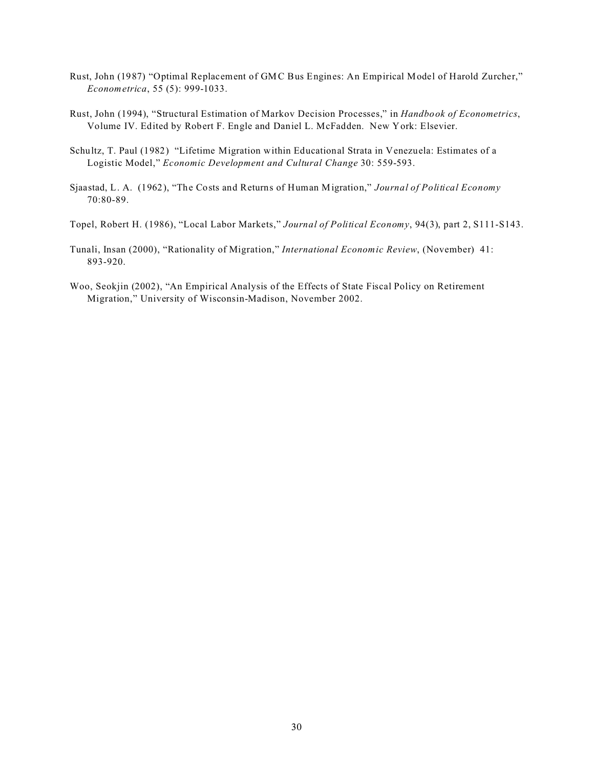- Rust, John (1987) "Optimal Replacement of GMC Bus Engines: An Empirical Model of Harold Zurcher," *Econometrica*, 55 (5): 999-1033.
- Rust, John (1994), "Structural Estimation of Markov Decision Processes," in *Handbook of Econometrics*, Volume IV. Edited by Robert F. Engle and Daniel L. McFadden. New York: Elsevier.
- Schultz, T. Paul (1982) "Lifetime Migration within Educational Strata in Venezuela: Estimates of a Logistic Model," *Economic Development and Cultural Change* 30: 559-593.
- Sjaastad, L. A. (1962), "The Costs and Returns of Human Migration," *Journal of Political Economy* 70:80-89.

Topel, Robert H. (1986), "Local Labor Markets," *Journal of Political Economy*, 94(3), part 2, S111-S143.

- Tunali, Insan (2000), "Rationality of Migration," *International Economic Review*, (November) 41: 893-920.
- Woo, Seokjin (2002), "An Empirical Analysis of the Effects of State Fiscal Policy on Retirement Migration," University of Wisconsin-Madison, November 2002.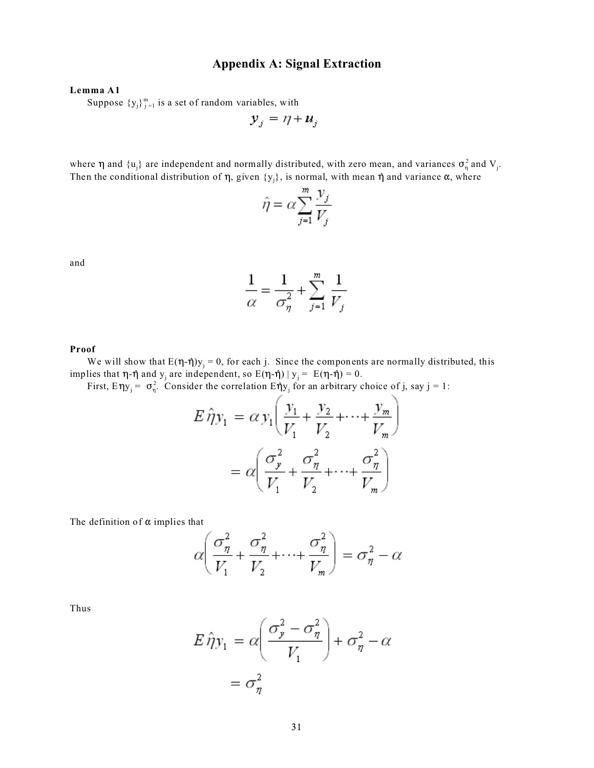# **Appendix A: Signal Extraction**

## **Lemma A1**

Suppose  ${y_j}_{j=1}^m$  is a set of random variables, with

$$
\mathbf{y}_j = \eta + \mathbf{u}_j
$$

where  $\eta$  and  $\{u_j\}$  are independent and normally distributed, with zero mean, and variances  $\sigma_\eta^2$  and  $V_j$ . Then the conditional distribution of  $\eta$ , given  $\{y_j\}$ , is normal, with mean  $\eta$  and variance  $\alpha$ , where

$$
\hat{\eta} = \alpha \sum_{j=1}^{m} \frac{y_j}{V_j}
$$

and

$$
\frac{1}{\alpha} = \frac{1}{\sigma_{\eta}^2} + \sum_{j=1}^{m} \frac{1}{V_j}
$$

#### **Proof**

We will show that  $E(\eta - \eta)y_j = 0$ , for each j. Since the components are normally distributed, this implies that  $\eta$ - $\hat{\eta}$  and  $y_j$  are independent, so  $E(\eta - \hat{\eta}) | y_j = E(\eta - \hat{\eta}) = 0$ .

First,  $E \eta y_j = \sigma_{\eta}^2$ . Consider the correlation  $E \eta y_j$  for an arbitrary choice of j, say j = 1:

$$
E \hat{\eta} y_1 = \alpha y_1 \left( \frac{y_1}{V_1} + \frac{y_2}{V_2} + \dots + \frac{y_m}{V_m} \right)
$$

$$
= \alpha \left( \frac{\sigma_y^2}{V_1} + \frac{\sigma_\eta^2}{V_2} + \dots + \frac{\sigma_\eta^2}{V_m} \right)
$$

The definition of  $\alpha$  implies that

$$
\alpha \left( \frac{\sigma_{\eta}^2}{V_1} + \frac{\sigma_{\eta}^2}{V_2} + \dots + \frac{\sigma_{\eta}^2}{V_m} \right) = \sigma_{\eta}^2 - \alpha
$$

Thus

$$
E \hat{\eta} y_1 = \alpha \left( \frac{\sigma_y^2 - \sigma_\eta^2}{V_1} \right) + \sigma_\eta^2 - \alpha
$$

$$
= \sigma_\eta^2
$$